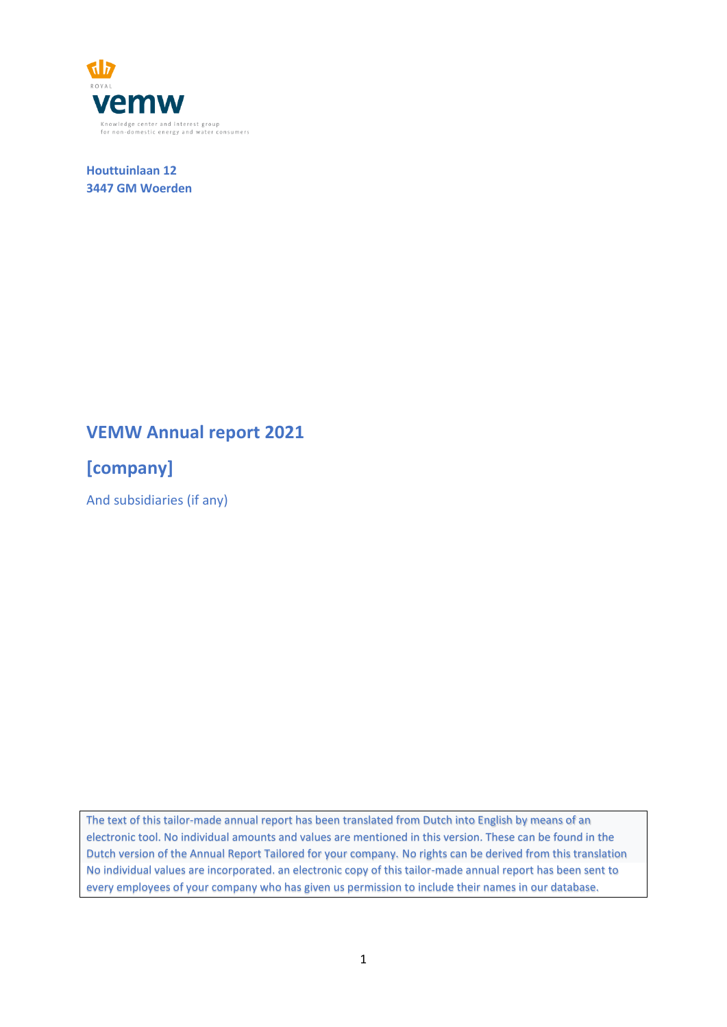

**Houttuinlaan 12 3447 GM Woerden**

# **VEMW Annual report 2021**

**[company]**

And subsidiaries (if any)

The text of this tailor-made annual report has been translated from Dutch into English by means of an electronic tool. No individual amounts and values are mentioned in this version. These can be found in the Dutch version of the Annual Report Tailored for your company. No rights can be derived from this translation No individual values are incorporated. an electronic copy of this tailor-made annual report has been sent to every employees of your company who has given us permission to include their names in our database.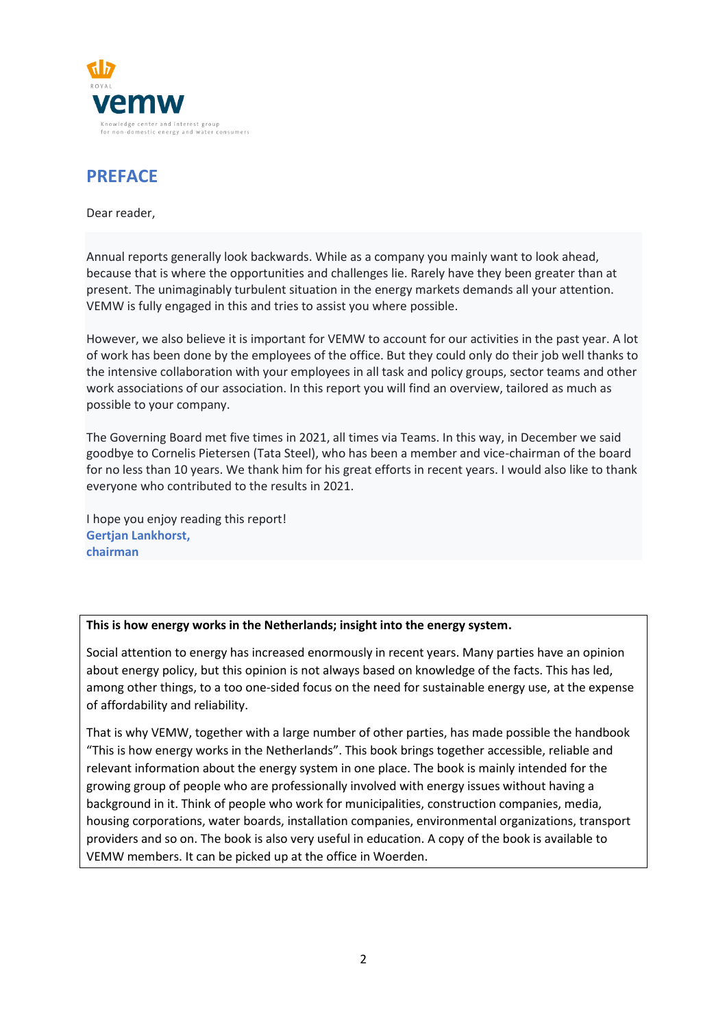

# **PREFACE**

Dear reader,

Annual reports generally look backwards. While as a company you mainly want to look ahead, because that is where the opportunities and challenges lie. Rarely have they been greater than at present. The unimaginably turbulent situation in the energy markets demands all your attention. VEMW is fully engaged in this and tries to assist you where possible.

However, we also believe it is important for VEMW to account for our activities in the past year. A lot of work has been done by the employees of the office. But they could only do their job well thanks to the intensive collaboration with your employees in all task and policy groups, sector teams and other work associations of our association. In this report you will find an overview, tailored as much as possible to your company.

The Governing Board met five times in 2021, all times via Teams. In this way, in December we said goodbye to Cornelis Pietersen (Tata Steel), who has been a member and vice-chairman of the board for no less than 10 years. We thank him for his great efforts in recent years. I would also like to thank everyone who contributed to the results in 2021.

I hope you enjoy reading this report! **Gertjan Lankhorst, chairman**

### **This is how energy works in the Netherlands; insight into the energy system.**

Social attention to energy has increased enormously in recent years. Many parties have an opinion about energy policy, but this opinion is not always based on knowledge of the facts. This has led, among other things, to a too one-sided focus on the need for sustainable energy use, at the expense of affordability and reliability.

That is why VEMW, together with a large number of other parties, has made possible the handbook "This is how energy works in the Netherlands". This book brings together accessible, reliable and relevant information about the energy system in one place. The book is mainly intended for the growing group of people who are professionally involved with energy issues without having a background in it. Think of people who work for municipalities, construction companies, media, housing corporations, water boards, installation companies, environmental organizations, transport providers and so on. The book is also very useful in education. A copy of the book is available to VEMW members. It can be picked up at the office in Woerden.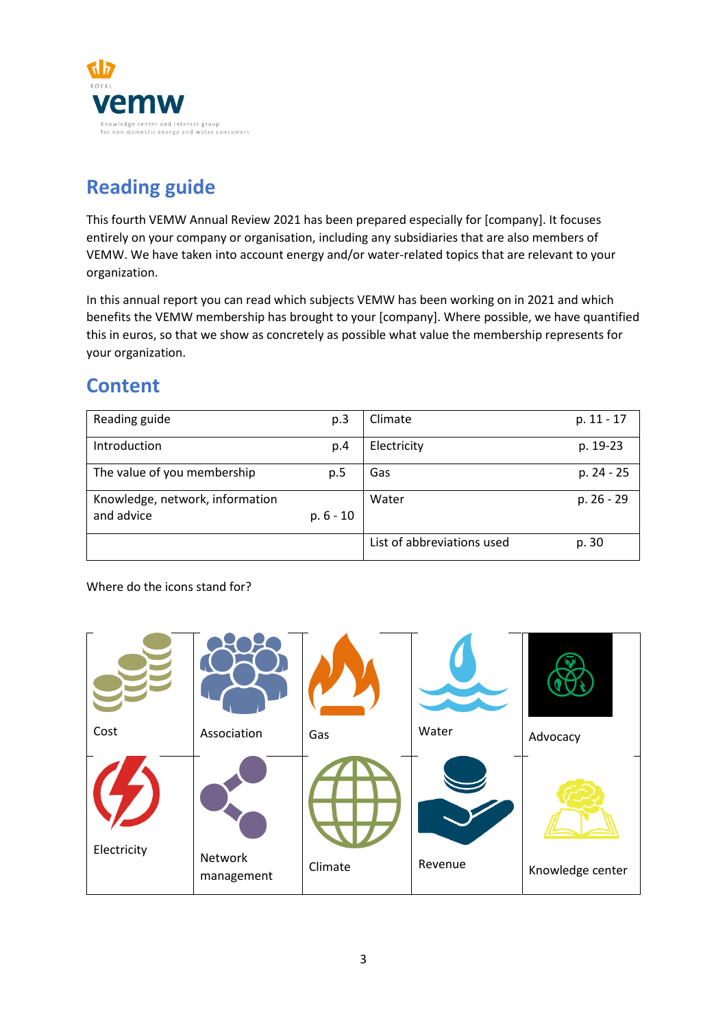

# **Reading guide**

This fourth VEMW Annual Review 2021 has been prepared especially for [company]. It focuses entirely on your company or organisation, including any subsidiaries that are also members of VEMW. We have taken into account energy and/or water-related topics that are relevant to your organization.

In this annual report you can read which subjects VEMW has been working on in 2021 and which benefits the VEMW membership has brought to your [company]. Where possible, we have quantified this in euros, so that we show as concretely as possible what value the membership represents for your organization.

# **Content**

| Reading guide                   | p.3         | Climate                    | p. 11 - 17 |
|---------------------------------|-------------|----------------------------|------------|
| Introduction                    | p.4         | Electricity                | p. 19-23   |
| The value of you membership     | p.5         | Gas                        | p. 24 - 25 |
| Knowledge, network, information |             | Water                      | p. 26 - 29 |
| and advice                      | $p. 6 - 10$ |                            |            |
|                                 |             | List of abbreviations used | p. 30      |

Where do the icons stand for?

| Cost        | Association | Gas     | Water   | Advocacy         |
|-------------|-------------|---------|---------|------------------|
| Electricity | Network     |         |         |                  |
|             | management  | Climate | Revenue | Knowledge center |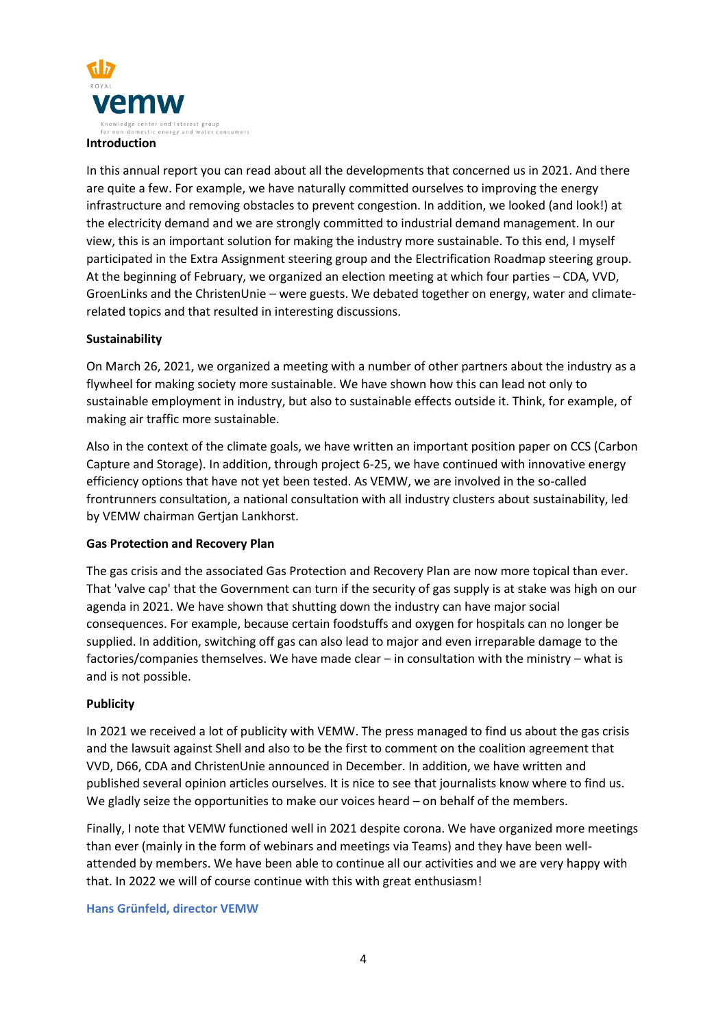

In this annual report you can read about all the developments that concerned us in 2021. And there are quite a few. For example, we have naturally committed ourselves to improving the energy infrastructure and removing obstacles to prevent congestion. In addition, we looked (and look!) at the electricity demand and we are strongly committed to industrial demand management. In our view, this is an important solution for making the industry more sustainable. To this end, I myself participated in the Extra Assignment steering group and the Electrification Roadmap steering group. At the beginning of February, we organized an election meeting at which four parties – CDA, VVD, GroenLinks and the ChristenUnie – were guests. We debated together on energy, water and climaterelated topics and that resulted in interesting discussions.

### **Sustainability**

On March 26, 2021, we organized a meeting with a number of other partners about the industry as a flywheel for making society more sustainable. We have shown how this can lead not only to sustainable employment in industry, but also to sustainable effects outside it. Think, for example, of making air traffic more sustainable.

Also in the context of the climate goals, we have written an important position paper on CCS (Carbon Capture and Storage). In addition, through project 6-25, we have continued with innovative energy efficiency options that have not yet been tested. As VEMW, we are involved in the so-called frontrunners consultation, a national consultation with all industry clusters about sustainability, led by VEMW chairman Gertjan Lankhorst.

### **Gas Protection and Recovery Plan**

The gas crisis and the associated Gas Protection and Recovery Plan are now more topical than ever. That 'valve cap' that the Government can turn if the security of gas supply is at stake was high on our agenda in 2021. We have shown that shutting down the industry can have major social consequences. For example, because certain foodstuffs and oxygen for hospitals can no longer be supplied. In addition, switching off gas can also lead to major and even irreparable damage to the factories/companies themselves. We have made clear – in consultation with the ministry – what is and is not possible.

### **Publicity**

In 2021 we received a lot of publicity with VEMW. The press managed to find us about the gas crisis and the lawsuit against Shell and also to be the first to comment on the coalition agreement that VVD, D66, CDA and ChristenUnie announced in December. In addition, we have written and published several opinion articles ourselves. It is nice to see that journalists know where to find us. We gladly seize the opportunities to make our voices heard – on behalf of the members.

Finally, I note that VEMW functioned well in 2021 despite corona. We have organized more meetings than ever (mainly in the form of webinars and meetings via Teams) and they have been wellattended by members. We have been able to continue all our activities and we are very happy with that. In 2022 we will of course continue with this with great enthusiasm!

#### **Hans Grünfeld, director VEMW**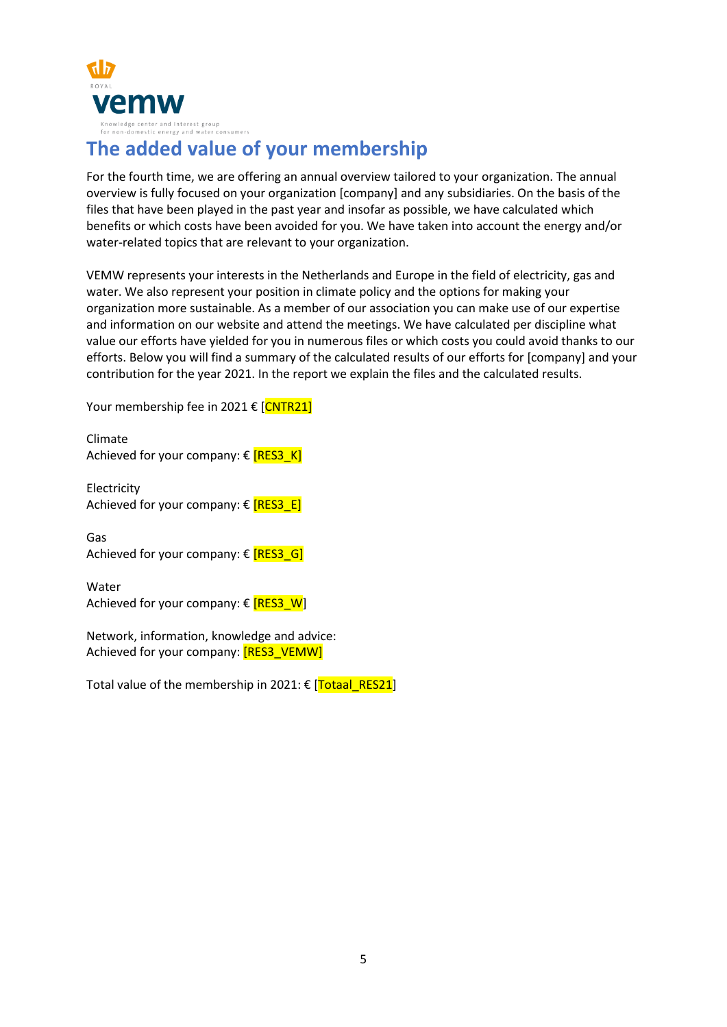

# **The added value of your membership**

For the fourth time, we are offering an annual overview tailored to your organization. The annual overview is fully focused on your organization [company] and any subsidiaries. On the basis of the files that have been played in the past year and insofar as possible, we have calculated which benefits or which costs have been avoided for you. We have taken into account the energy and/or water-related topics that are relevant to your organization.

VEMW represents your interests in the Netherlands and Europe in the field of electricity, gas and water. We also represent your position in climate policy and the options for making your organization more sustainable. As a member of our association you can make use of our expertise and information on our website and attend the meetings. We have calculated per discipline what value our efforts have yielded for you in numerous files or which costs you could avoid thanks to our efforts. Below you will find a summary of the calculated results of our efforts for [company] and your contribution for the year 2021. In the report we explain the files and the calculated results.

Your membership fee in 2021 € [CNTR21]

Climate Achieved for your company:  $\epsilon$  [RES3\_K]

**Electricity** Achieved for your company:  $\epsilon$  [RES3\_E]

Gas Achieved for your company:  $\epsilon$  **[RES3\_G]** 

Water Achieved for your company:  $\epsilon$  [RES3\_W]

Network, information, knowledge and advice: Achieved for your company: [RES3\_VEMW]

Total value of the membership in 2021:  $\epsilon$  [Totaal\_RES21]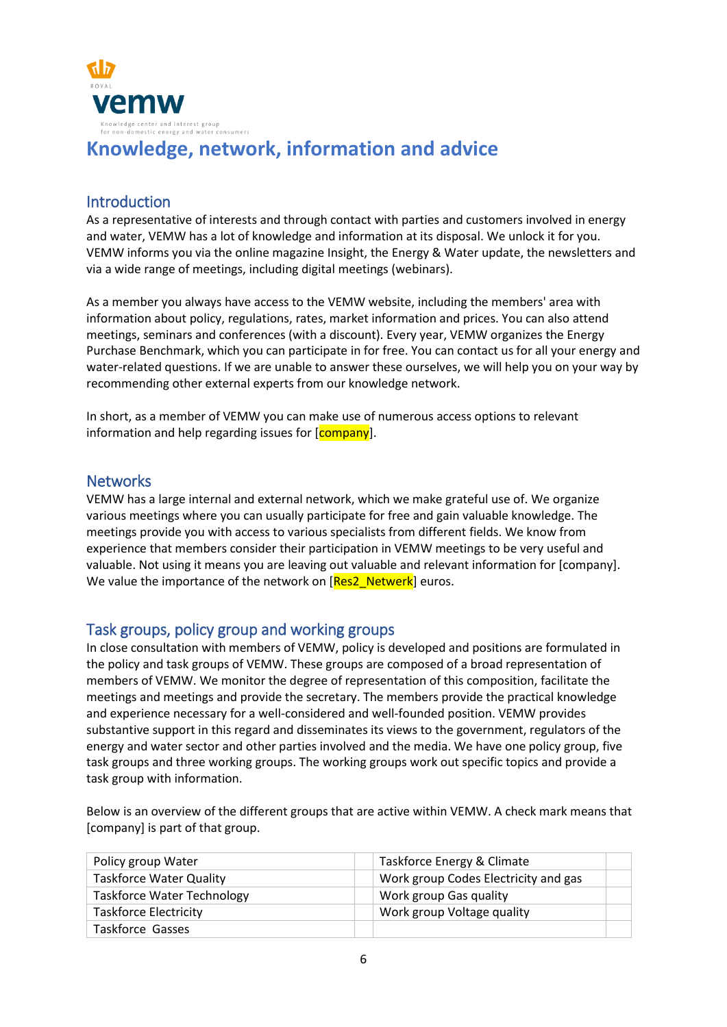

# **Knowledge, network, information and advice**

# **Introduction**

As a representative of interests and through contact with parties and customers involved in energy and water, VEMW has a lot of knowledge and information at its disposal. We unlock it for you. VEMW informs you via the online magazine Insight, the Energy & Water update, the newsletters and via a wide range of meetings, including digital meetings (webinars).

As a member you always have access to the VEMW website, including the members' area with information about policy, regulations, rates, market information and prices. You can also attend meetings, seminars and conferences (with a discount). Every year, VEMW organizes the Energy Purchase Benchmark, which you can participate in for free. You can contact us for all your energy and water-related questions. If we are unable to answer these ourselves, we will help you on your way by recommending other external experts from our knowledge network.

In short, as a member of VEMW you can make use of numerous access options to relevant information and help regarding issues for [company].

# **Networks**

VEMW has a large internal and external network, which we make grateful use of. We organize various meetings where you can usually participate for free and gain valuable knowledge. The meetings provide you with access to various specialists from different fields. We know from experience that members consider their participation in VEMW meetings to be very useful and valuable. Not using it means you are leaving out valuable and relevant information for [company]. We value the importance of the network on [Res2\_Netwerk] euros.

# Task groups, policy group and working groups

In close consultation with members of VEMW, policy is developed and positions are formulated in the policy and task groups of VEMW. These groups are composed of a broad representation of members of VEMW. We monitor the degree of representation of this composition, facilitate the meetings and meetings and provide the secretary. The members provide the practical knowledge and experience necessary for a well-considered and well-founded position. VEMW provides substantive support in this regard and disseminates its views to the government, regulators of the energy and water sector and other parties involved and the media. We have one policy group, five task groups and three working groups. The working groups work out specific topics and provide a task group with information.

Below is an overview of the different groups that are active within VEMW. A check mark means that [company] is part of that group.

| Policy group Water                | Taskforce Energy & Climate           |  |
|-----------------------------------|--------------------------------------|--|
| <b>Taskforce Water Quality</b>    | Work group Codes Electricity and gas |  |
| <b>Taskforce Water Technology</b> | Work group Gas quality               |  |
| <b>Taskforce Electricity</b>      | Work group Voltage quality           |  |
| <b>Taskforce Gasses</b>           |                                      |  |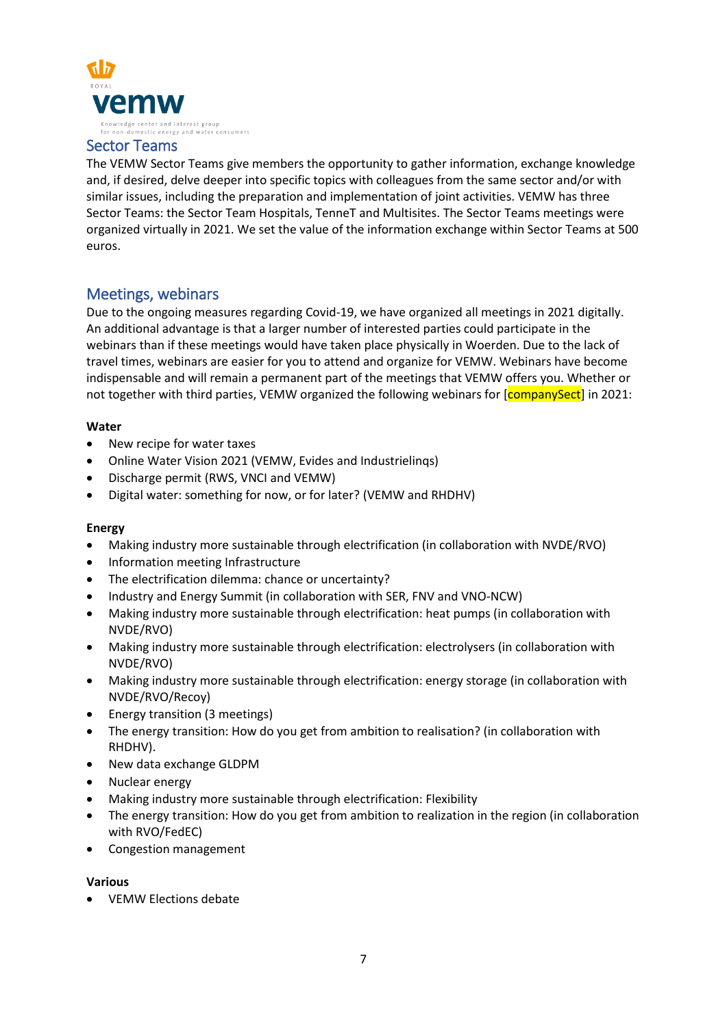

### Sector Teams

The VEMW Sector Teams give members the opportunity to gather information, exchange knowledge and, if desired, delve deeper into specific topics with colleagues from the same sector and/or with similar issues, including the preparation and implementation of joint activities. VEMW has three Sector Teams: the Sector Team Hospitals, TenneT and Multisites. The Sector Teams meetings were organized virtually in 2021. We set the value of the information exchange within Sector Teams at 500 euros.

## Meetings, webinars

Due to the ongoing measures regarding Covid-19, we have organized all meetings in 2021 digitally. An additional advantage is that a larger number of interested parties could participate in the webinars than if these meetings would have taken place physically in Woerden. Due to the lack of travel times, webinars are easier for you to attend and organize for VEMW. Webinars have become indispensable and will remain a permanent part of the meetings that VEMW offers you. Whether or not together with third parties, VEMW organized the following webinars for [companySect] in 2021:

### **Water**

- New recipe for water taxes
- Online Water Vision 2021 (VEMW, Evides and Industrielinqs)
- Discharge permit (RWS, VNCI and VEMW)
- Digital water: something for now, or for later? (VEMW and RHDHV)

### **Energy**

- Making industry more sustainable through electrification (in collaboration with NVDE/RVO)
- Information meeting Infrastructure
- The electrification dilemma: chance or uncertainty?
- Industry and Energy Summit (in collaboration with SER, FNV and VNO-NCW)
- Making industry more sustainable through electrification: heat pumps (in collaboration with NVDE/RVO)
- Making industry more sustainable through electrification: electrolysers (in collaboration with NVDE/RVO)
- Making industry more sustainable through electrification: energy storage (in collaboration with NVDE/RVO/Recoy)
- Energy transition (3 meetings)
- The energy transition: How do you get from ambition to realisation? (in collaboration with RHDHV).
- New data exchange GLDPM
- Nuclear energy
- Making industry more sustainable through electrification: Flexibility
- The energy transition: How do you get from ambition to realization in the region (in collaboration with RVO/FedEC)
- Congestion management

### **Various**

• VEMW Elections debate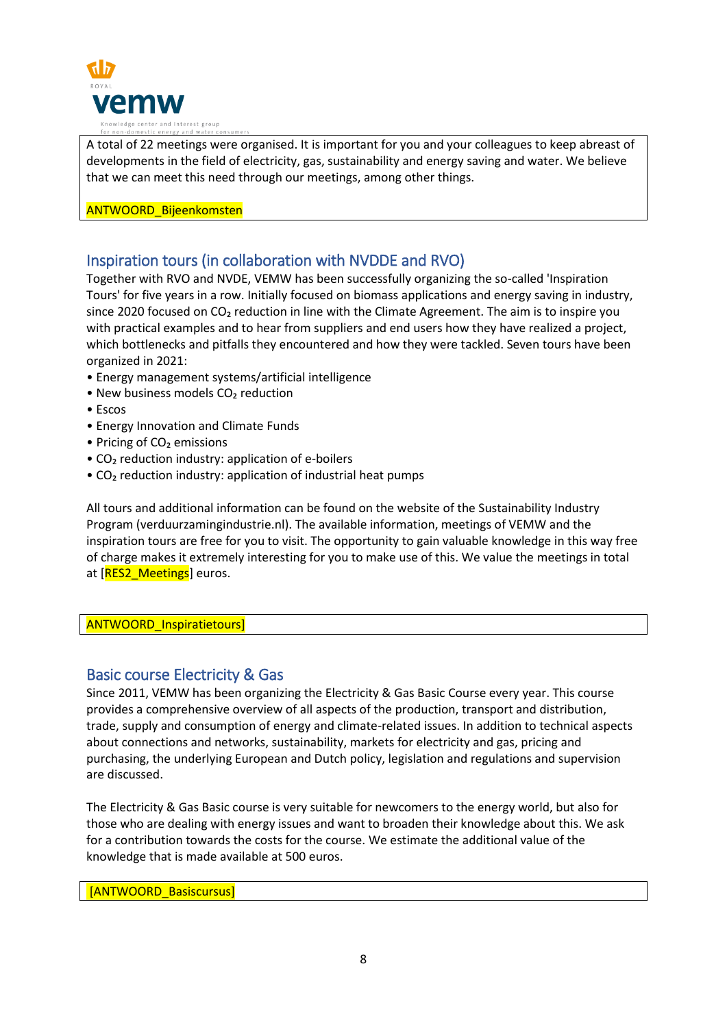

A total of 22 meetings were organised. It is important for you and your colleagues to keep abreast of developments in the field of electricity, gas, sustainability and energy saving and water. We believe that we can meet this need through our meetings, among other things.

### ANTWOORD\_Bijeenkomsten

# Inspiration tours (in collaboration with NVDDE and RVO)

Together with RVO and NVDE, VEMW has been successfully organizing the so-called 'Inspiration Tours' for five years in a row. Initially focused on biomass applications and energy saving in industry, since 2020 focused on CO<sub>2</sub> reduction in line with the Climate Agreement. The aim is to inspire you with practical examples and to hear from suppliers and end users how they have realized a project, which bottlenecks and pitfalls they encountered and how they were tackled. Seven tours have been organized in 2021:

- Energy management systems/artificial intelligence
- New business models CO<sub>2</sub> reduction
- Escos
- Energy Innovation and Climate Funds
- Pricing of CO<sub>2</sub> emissions
- CO<sub>2</sub> reduction industry: application of e-boilers
- CO<sub>2</sub> reduction industry: application of industrial heat pumps

All tours and additional information can be found on the website of the Sustainability Industry Program (verduurzamingindustrie.nl). The available information, meetings of VEMW and the inspiration tours are free for you to visit. The opportunity to gain valuable knowledge in this way free of charge makes it extremely interesting for you to make use of this. We value the meetings in total at [RES2\_Meetings] euros.

### ANTWOORD\_Inspiratietours]

## Basic course Electricity & Gas

Since 2011, VEMW has been organizing the Electricity & Gas Basic Course every year. This course provides a comprehensive overview of all aspects of the production, transport and distribution, trade, supply and consumption of energy and climate-related issues. In addition to technical aspects about connections and networks, sustainability, markets for electricity and gas, pricing and purchasing, the underlying European and Dutch policy, legislation and regulations and supervision are discussed.

The Electricity & Gas Basic course is very suitable for newcomers to the energy world, but also for those who are dealing with energy issues and want to broaden their knowledge about this. We ask for a contribution towards the costs for the course. We estimate the additional value of the knowledge that is made available at 500 euros.

[ANTWOORD\_Basiscursus]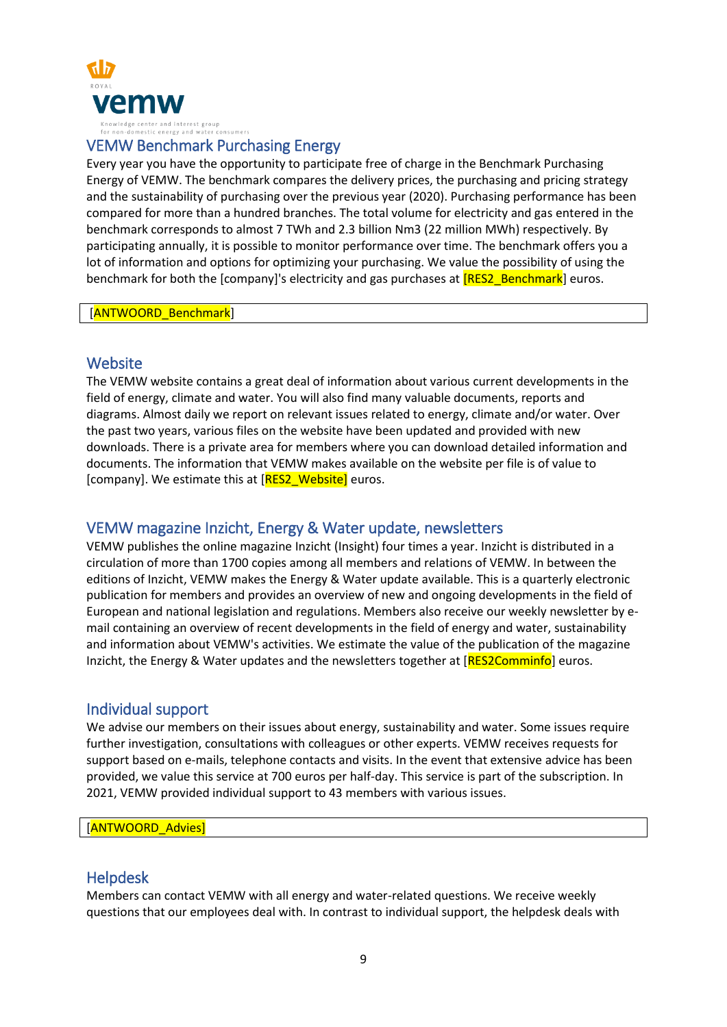

### VEMW Benchmark Purchasing Energy

Every year you have the opportunity to participate free of charge in the Benchmark Purchasing Energy of VEMW. The benchmark compares the delivery prices, the purchasing and pricing strategy and the sustainability of purchasing over the previous year (2020). Purchasing performance has been compared for more than a hundred branches. The total volume for electricity and gas entered in the benchmark corresponds to almost 7 TWh and 2.3 billion Nm3 (22 million MWh) respectively. By participating annually, it is possible to monitor performance over time. The benchmark offers you a lot of information and options for optimizing your purchasing. We value the possibility of using the benchmark for both the [company]'s electricity and gas purchases at **[RES2\_Benchmark**] euros.

[ANTWOORD Benchmark]

### **Website**

The VEMW website contains a great deal of information about various current developments in the field of energy, climate and water. You will also find many valuable documents, reports and diagrams. Almost daily we report on relevant issues related to energy, climate and/or water. Over the past two years, various files on the website have been updated and provided with new downloads. There is a private area for members where you can download detailed information and documents. The information that VEMW makes available on the website per file is of value to [company]. We estimate this at [RES2\_Website] euros.

## VEMW magazine Inzicht, Energy & Water update, newsletters

VEMW publishes the online magazine Inzicht (Insight) four times a year. Inzicht is distributed in a circulation of more than 1700 copies among all members and relations of VEMW. In between the editions of Inzicht, VEMW makes the Energy & Water update available. This is a quarterly electronic publication for members and provides an overview of new and ongoing developments in the field of European and national legislation and regulations. Members also receive our weekly newsletter by email containing an overview of recent developments in the field of energy and water, sustainability and information about VEMW's activities. We estimate the value of the publication of the magazine Inzicht, the Energy & Water updates and the newsletters together at [RES2Comminfo] euros.

## Individual support

We advise our members on their issues about energy, sustainability and water. Some issues require further investigation, consultations with colleagues or other experts. VEMW receives requests for support based on e-mails, telephone contacts and visits. In the event that extensive advice has been provided, we value this service at 700 euros per half-day. This service is part of the subscription. In 2021, VEMW provided individual support to 43 members with various issues.

[ANTWOORD Advies]

### Helpdesk

Members can contact VEMW with all energy and water-related questions. We receive weekly questions that our employees deal with. In contrast to individual support, the helpdesk deals with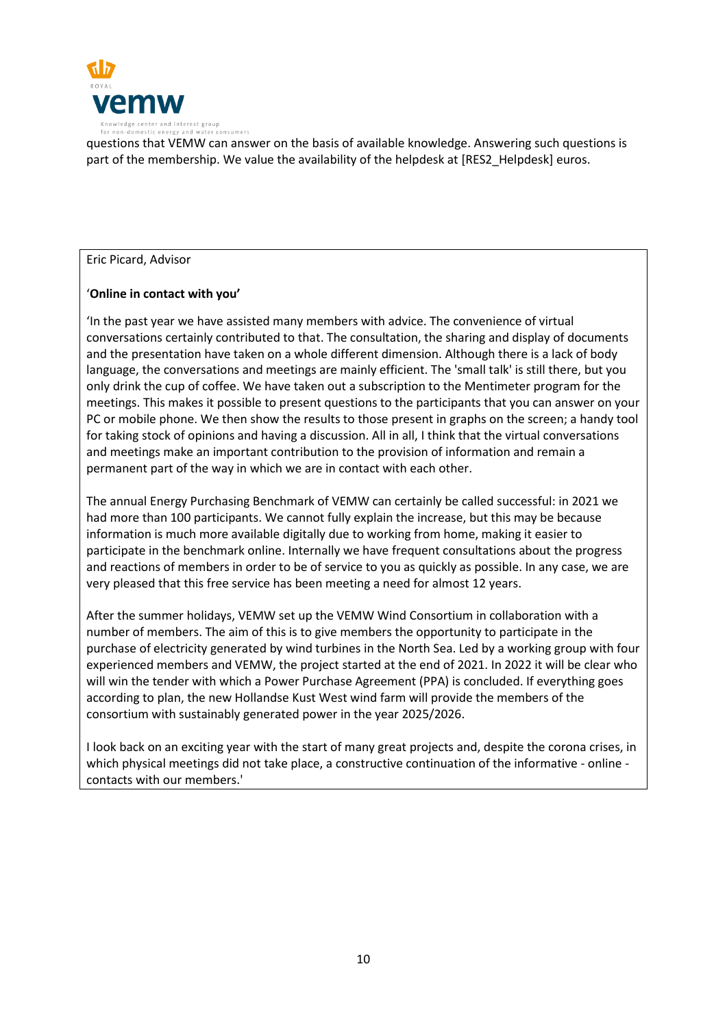

questions that VEMW can answer on the basis of available knowledge. Answering such questions is part of the membership. We value the availability of the helpdesk at [RES2\_Helpdesk] euros.

### Eric Picard, Advisor

### '**Online in contact with you'**

'In the past year we have assisted many members with advice. The convenience of virtual conversations certainly contributed to that. The consultation, the sharing and display of documents and the presentation have taken on a whole different dimension. Although there is a lack of body language, the conversations and meetings are mainly efficient. The 'small talk' is still there, but you only drink the cup of coffee. We have taken out a subscription to the Mentimeter program for the meetings. This makes it possible to present questions to the participants that you can answer on your PC or mobile phone. We then show the results to those present in graphs on the screen; a handy tool for taking stock of opinions and having a discussion. All in all, I think that the virtual conversations and meetings make an important contribution to the provision of information and remain a permanent part of the way in which we are in contact with each other.

The annual Energy Purchasing Benchmark of VEMW can certainly be called successful: in 2021 we had more than 100 participants. We cannot fully explain the increase, but this may be because information is much more available digitally due to working from home, making it easier to participate in the benchmark online. Internally we have frequent consultations about the progress and reactions of members in order to be of service to you as quickly as possible. In any case, we are very pleased that this free service has been meeting a need for almost 12 years.

After the summer holidays, VEMW set up the VEMW Wind Consortium in collaboration with a number of members. The aim of this is to give members the opportunity to participate in the purchase of electricity generated by wind turbines in the North Sea. Led by a working group with four experienced members and VEMW, the project started at the end of 2021. In 2022 it will be clear who will win the tender with which a Power Purchase Agreement (PPA) is concluded. If everything goes according to plan, the new Hollandse Kust West wind farm will provide the members of the consortium with sustainably generated power in the year 2025/2026.

I look back on an exciting year with the start of many great projects and, despite the corona crises, in which physical meetings did not take place, a constructive continuation of the informative - online contacts with our members.'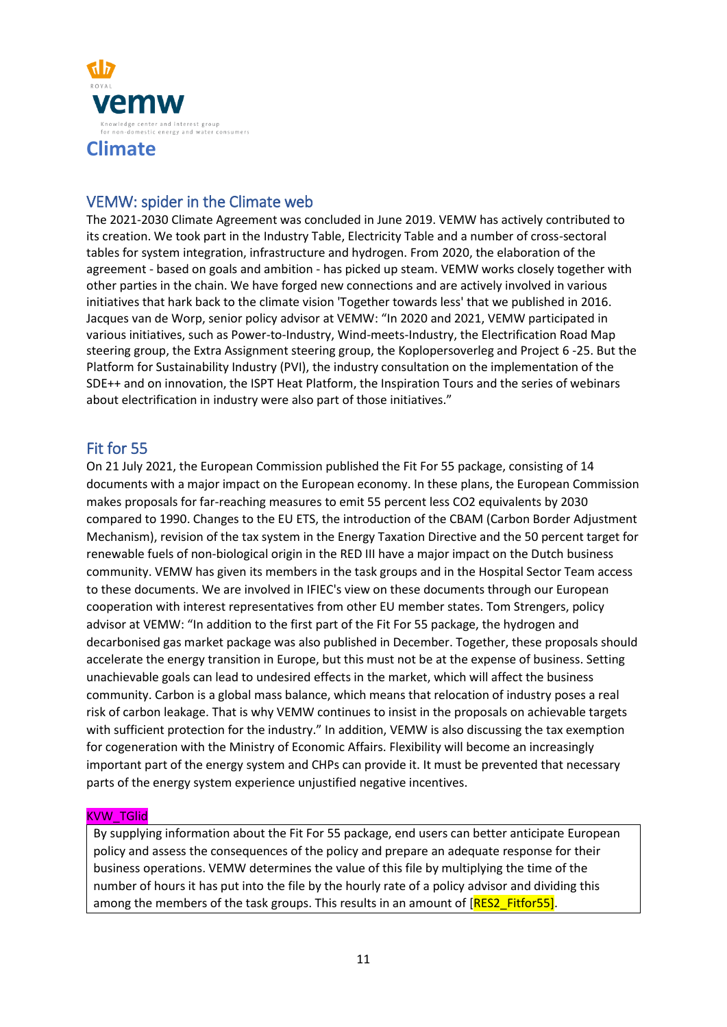

# VEMW: spider in the Climate web

The 2021-2030 Climate Agreement was concluded in June 2019. VEMW has actively contributed to its creation. We took part in the Industry Table, Electricity Table and a number of cross-sectoral tables for system integration, infrastructure and hydrogen. From 2020, the elaboration of the agreement - based on goals and ambition - has picked up steam. VEMW works closely together with other parties in the chain. We have forged new connections and are actively involved in various initiatives that hark back to the climate vision 'Together towards less' that we published in 2016. Jacques van de Worp, senior policy advisor at VEMW: "In 2020 and 2021, VEMW participated in various initiatives, such as Power-to-Industry, Wind-meets-Industry, the Electrification Road Map steering group, the Extra Assignment steering group, the Koplopersoverleg and Project 6 -25. But the Platform for Sustainability Industry (PVI), the industry consultation on the implementation of the SDE++ and on innovation, the ISPT Heat Platform, the Inspiration Tours and the series of webinars about electrification in industry were also part of those initiatives."

# Fit for 55

On 21 July 2021, the European Commission published the Fit For 55 package, consisting of 14 documents with a major impact on the European economy. In these plans, the European Commission makes proposals for far-reaching measures to emit 55 percent less CO2 equivalents by 2030 compared to 1990. Changes to the EU ETS, the introduction of the CBAM (Carbon Border Adjustment Mechanism), revision of the tax system in the Energy Taxation Directive and the 50 percent target for renewable fuels of non-biological origin in the RED III have a major impact on the Dutch business community. VEMW has given its members in the task groups and in the Hospital Sector Team access to these documents. We are involved in IFIEC's view on these documents through our European cooperation with interest representatives from other EU member states. Tom Strengers, policy advisor at VEMW: "In addition to the first part of the Fit For 55 package, the hydrogen and decarbonised gas market package was also published in December. Together, these proposals should accelerate the energy transition in Europe, but this must not be at the expense of business. Setting unachievable goals can lead to undesired effects in the market, which will affect the business community. Carbon is a global mass balance, which means that relocation of industry poses a real risk of carbon leakage. That is why VEMW continues to insist in the proposals on achievable targets with sufficient protection for the industry." In addition, VEMW is also discussing the tax exemption for cogeneration with the Ministry of Economic Affairs. Flexibility will become an increasingly important part of the energy system and CHPs can provide it. It must be prevented that necessary parts of the energy system experience unjustified negative incentives.

### KVW\_TGlid

By supplying information about the Fit For 55 package, end users can better anticipate European policy and assess the consequences of the policy and prepare an adequate response for their business operations. VEMW determines the value of this file by multiplying the time of the number of hours it has put into the file by the hourly rate of a policy advisor and dividing this among the members of the task groups. This results in an amount of [RES2\_Fitfor55].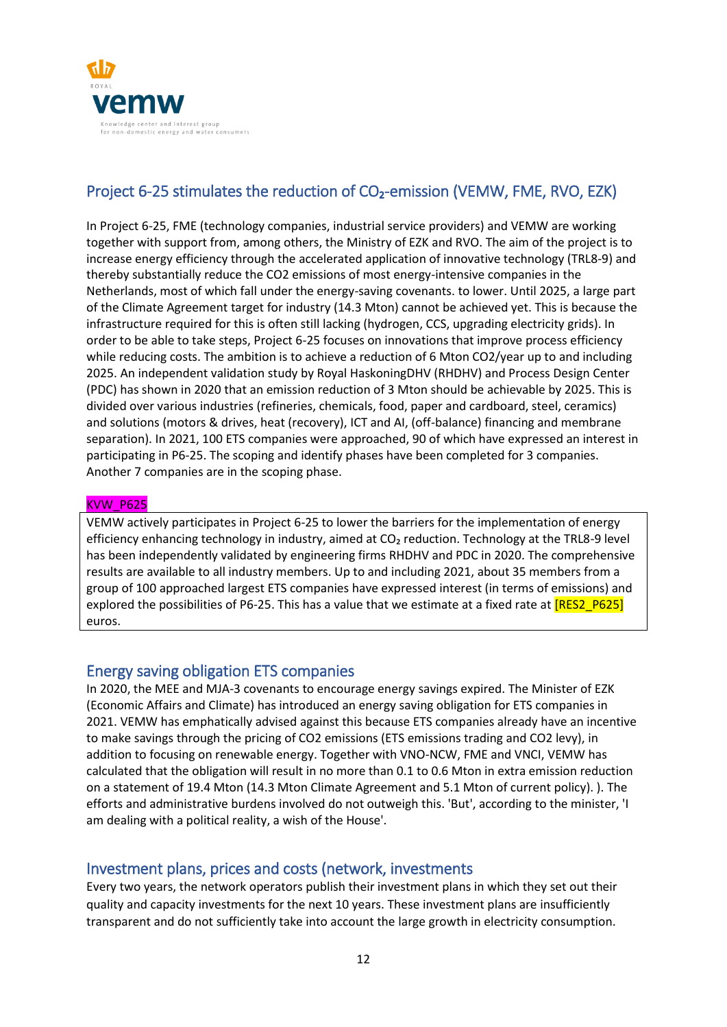

# Project 6-25 stimulates the reduction of CO<sub>2</sub>-emission (VEMW, FME, RVO, EZK)

In Project 6-25, FME (technology companies, industrial service providers) and VEMW are working together with support from, among others, the Ministry of EZK and RVO. The aim of the project is to increase energy efficiency through the accelerated application of innovative technology (TRL8-9) and thereby substantially reduce the CO2 emissions of most energy-intensive companies in the Netherlands, most of which fall under the energy-saving covenants. to lower. Until 2025, a large part of the Climate Agreement target for industry (14.3 Mton) cannot be achieved yet. This is because the infrastructure required for this is often still lacking (hydrogen, CCS, upgrading electricity grids). In order to be able to take steps, Project 6-25 focuses on innovations that improve process efficiency while reducing costs. The ambition is to achieve a reduction of 6 Mton CO2/year up to and including 2025. An independent validation study by Royal HaskoningDHV (RHDHV) and Process Design Center (PDC) has shown in 2020 that an emission reduction of 3 Mton should be achievable by 2025. This is divided over various industries (refineries, chemicals, food, paper and cardboard, steel, ceramics) and solutions (motors & drives, heat (recovery), ICT and AI, (off-balance) financing and membrane separation). In 2021, 100 ETS companies were approached, 90 of which have expressed an interest in participating in P6-25. The scoping and identify phases have been completed for 3 companies. Another 7 companies are in the scoping phase.

### KVW\_P625

VEMW actively participates in Project 6-25 to lower the barriers for the implementation of energy efficiency enhancing technology in industry, aimed at CO<sub>2</sub> reduction. Technology at the TRL8-9 level has been independently validated by engineering firms RHDHV and PDC in 2020. The comprehensive results are available to all industry members. Up to and including 2021, about 35 members from a group of 100 approached largest ETS companies have expressed interest (in terms of emissions) and explored the possibilities of P6-25. This has a value that we estimate at a fixed rate at [RES2\_P625] euros.

# Energy saving obligation ETS companies

In 2020, the MEE and MJA-3 covenants to encourage energy savings expired. The Minister of EZK (Economic Affairs and Climate) has introduced an energy saving obligation for ETS companies in 2021. VEMW has emphatically advised against this because ETS companies already have an incentive to make savings through the pricing of CO2 emissions (ETS emissions trading and CO2 levy), in addition to focusing on renewable energy. Together with VNO-NCW, FME and VNCI, VEMW has calculated that the obligation will result in no more than 0.1 to 0.6 Mton in extra emission reduction on a statement of 19.4 Mton (14.3 Mton Climate Agreement and 5.1 Mton of current policy). ). The efforts and administrative burdens involved do not outweigh this. 'But', according to the minister, 'I am dealing with a political reality, a wish of the House'.

# Investment plans, prices and costs (network, investments

Every two years, the network operators publish their investment plans in which they set out their quality and capacity investments for the next 10 years. These investment plans are insufficiently transparent and do not sufficiently take into account the large growth in electricity consumption.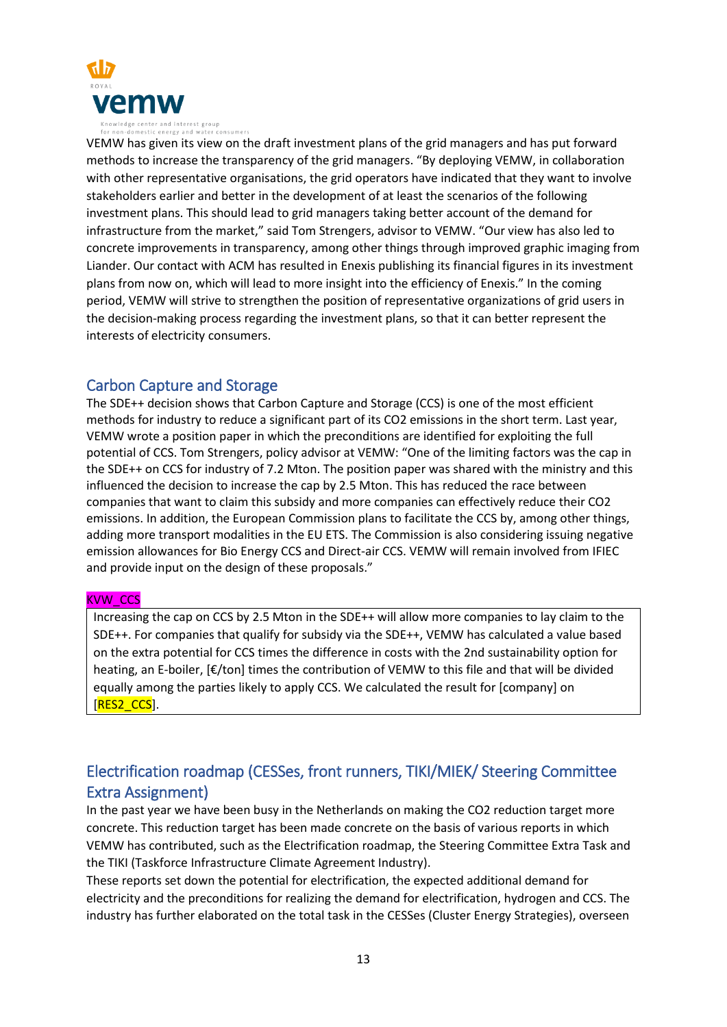

VEMW has given its view on the draft investment plans of the grid managers and has put forward methods to increase the transparency of the grid managers. "By deploying VEMW, in collaboration with other representative organisations, the grid operators have indicated that they want to involve stakeholders earlier and better in the development of at least the scenarios of the following investment plans. This should lead to grid managers taking better account of the demand for infrastructure from the market," said Tom Strengers, advisor to VEMW. "Our view has also led to concrete improvements in transparency, among other things through improved graphic imaging from Liander. Our contact with ACM has resulted in Enexis publishing its financial figures in its investment plans from now on, which will lead to more insight into the efficiency of Enexis." In the coming period, VEMW will strive to strengthen the position of representative organizations of grid users in the decision-making process regarding the investment plans, so that it can better represent the interests of electricity consumers.

# Carbon Capture and Storage

The SDE++ decision shows that Carbon Capture and Storage (CCS) is one of the most efficient methods for industry to reduce a significant part of its CO2 emissions in the short term. Last year, VEMW wrote a position paper in which the preconditions are identified for exploiting the full potential of CCS. Tom Strengers, policy advisor at VEMW: "One of the limiting factors was the cap in the SDE++ on CCS for industry of 7.2 Mton. The position paper was shared with the ministry and this influenced the decision to increase the cap by 2.5 Mton. This has reduced the race between companies that want to claim this subsidy and more companies can effectively reduce their CO2 emissions. In addition, the European Commission plans to facilitate the CCS by, among other things, adding more transport modalities in the EU ETS. The Commission is also considering issuing negative emission allowances for Bio Energy CCS and Direct-air CCS. VEMW will remain involved from IFIEC and provide input on the design of these proposals."

### KVW\_CCS

Increasing the cap on CCS by 2.5 Mton in the SDE++ will allow more companies to lay claim to the SDE++. For companies that qualify for subsidy via the SDE++, VEMW has calculated a value based on the extra potential for CCS times the difference in costs with the 2nd sustainability option for heating, an E-boiler, [€/ton] times the contribution of VEMW to this file and that will be divided equally among the parties likely to apply CCS. We calculated the result for [company] on [RES2\_CCS].

# Electrification roadmap (CESSes, front runners, TIKI/MIEK/ Steering Committee Extra Assignment)

In the past year we have been busy in the Netherlands on making the CO2 reduction target more concrete. This reduction target has been made concrete on the basis of various reports in which VEMW has contributed, such as the Electrification roadmap, the Steering Committee Extra Task and the TIKI (Taskforce Infrastructure Climate Agreement Industry).

These reports set down the potential for electrification, the expected additional demand for electricity and the preconditions for realizing the demand for electrification, hydrogen and CCS. The industry has further elaborated on the total task in the CESSes (Cluster Energy Strategies), overseen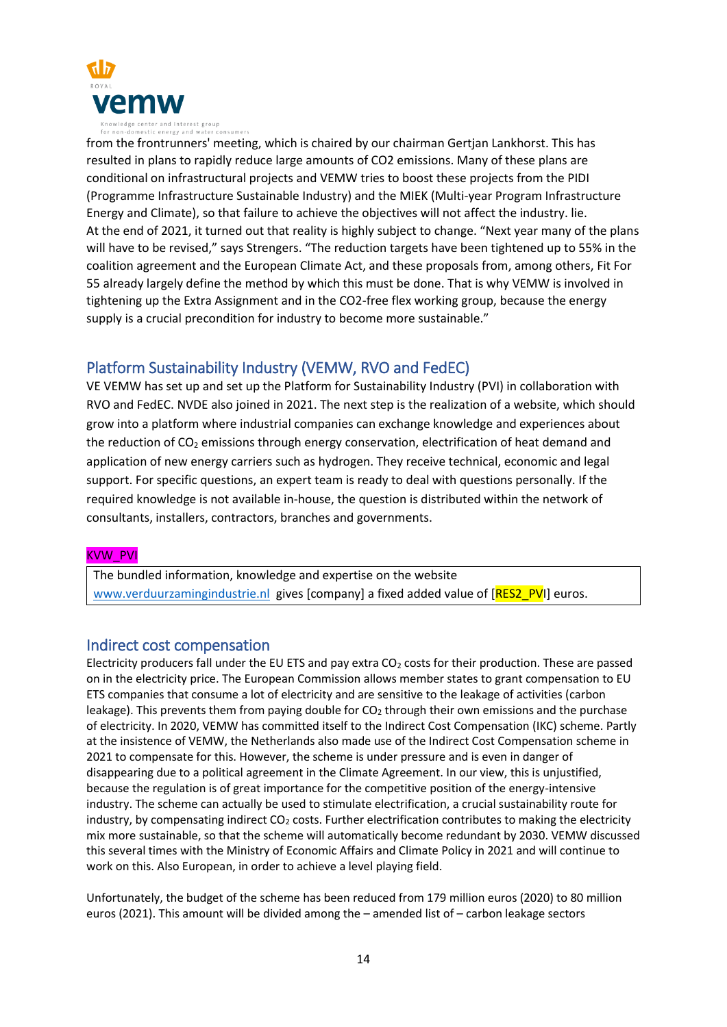

from the frontrunners' meeting, which is chaired by our chairman Gertjan Lankhorst. This has resulted in plans to rapidly reduce large amounts of CO2 emissions. Many of these plans are conditional on infrastructural projects and VEMW tries to boost these projects from the PIDI (Programme Infrastructure Sustainable Industry) and the MIEK (Multi-year Program Infrastructure Energy and Climate), so that failure to achieve the objectives will not affect the industry. lie. At the end of 2021, it turned out that reality is highly subject to change. "Next year many of the plans will have to be revised," says Strengers. "The reduction targets have been tightened up to 55% in the coalition agreement and the European Climate Act, and these proposals from, among others, Fit For 55 already largely define the method by which this must be done. That is why VEMW is involved in tightening up the Extra Assignment and in the CO2-free flex working group, because the energy supply is a crucial precondition for industry to become more sustainable."

# Platform Sustainability Industry (VEMW, RVO and FedEC)

VE VEMW has set up and set up the Platform for Sustainability Industry (PVI) in collaboration with RVO and FedEC. NVDE also joined in 2021. The next step is the realization of a website, which should grow into a platform where industrial companies can exchange knowledge and experiences about the reduction of CO<sub>2</sub> emissions through energy conservation, electrification of heat demand and application of new energy carriers such as hydrogen. They receive technical, economic and legal support. For specific questions, an expert team is ready to deal with questions personally. If the required knowledge is not available in-house, the question is distributed within the network of consultants, installers, contractors, branches and governments.

### KVW\_PVI

The bundled information, knowledge and expertise on the website [www.verduurzamingindustrie.nl](http://www.verduurzamingindustrie.nl/) gives [company] a fixed added value of [RES2\_PVI] euros.

## Indirect cost compensation

Electricity producers fall under the EU ETS and pay extra  $CO<sub>2</sub>$  costs for their production. These are passed on in the electricity price. The European Commission allows member states to grant compensation to EU ETS companies that consume a lot of electricity and are sensitive to the leakage of activities (carbon leakage). This prevents them from paying double for  $CO<sub>2</sub>$  through their own emissions and the purchase of electricity. In 2020, VEMW has committed itself to the Indirect Cost Compensation (IKC) scheme. Partly at the insistence of VEMW, the Netherlands also made use of the Indirect Cost Compensation scheme in 2021 to compensate for this. However, the scheme is under pressure and is even in danger of disappearing due to a political agreement in the Climate Agreement. In our view, this is unjustified, because the regulation is of great importance for the competitive position of the energy-intensive industry. The scheme can actually be used to stimulate electrification, a crucial sustainability route for industry, by compensating indirect CO<sub>2</sub> costs. Further electrification contributes to making the electricity mix more sustainable, so that the scheme will automatically become redundant by 2030. VEMW discussed this several times with the Ministry of Economic Affairs and Climate Policy in 2021 and will continue to work on this. Also European, in order to achieve a level playing field.

Unfortunately, the budget of the scheme has been reduced from 179 million euros (2020) to 80 million euros (2021). This amount will be divided among the – amended list of – carbon leakage sectors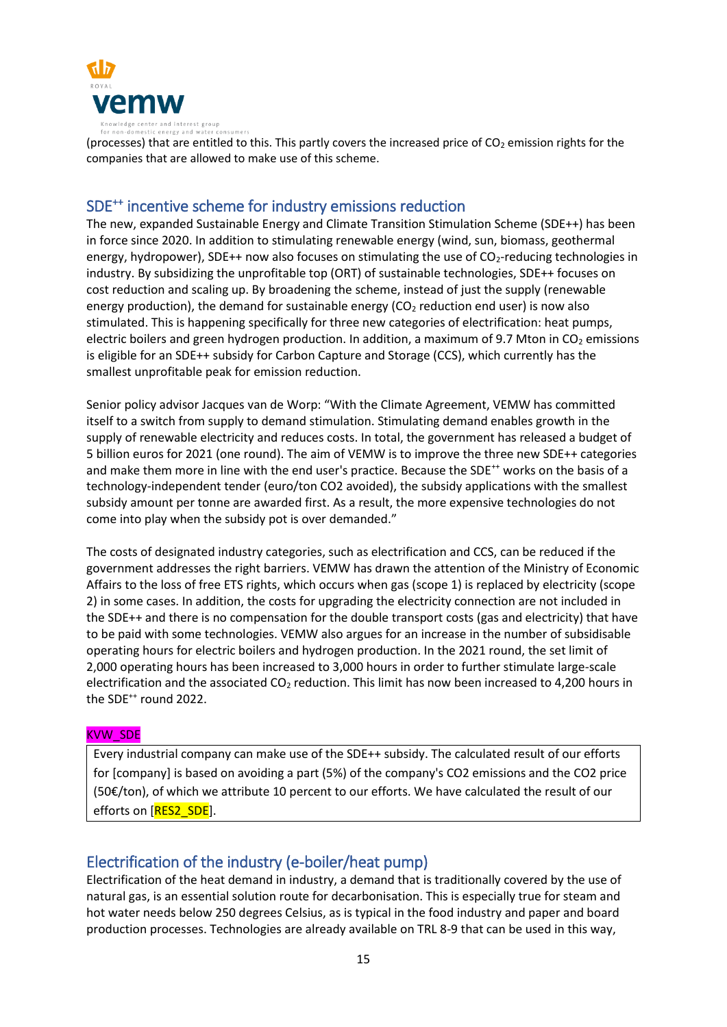

(processes) that are entitled to this. This partly covers the increased price of  $CO<sub>2</sub>$  emission rights for the companies that are allowed to make use of this scheme.

# SDE<sup>++</sup> incentive scheme for industry emissions reduction

The new, expanded Sustainable Energy and Climate Transition Stimulation Scheme (SDE++) has been in force since 2020. In addition to stimulating renewable energy (wind, sun, biomass, geothermal energy, hydropower), SDE++ now also focuses on stimulating the use of CO<sub>2</sub>-reducing technologies in industry. By subsidizing the unprofitable top (ORT) of sustainable technologies, SDE++ focuses on cost reduction and scaling up. By broadening the scheme, instead of just the supply (renewable energy production), the demand for sustainable energy ( $CO<sub>2</sub>$  reduction end user) is now also stimulated. This is happening specifically for three new categories of electrification: heat pumps, electric boilers and green hydrogen production. In addition, a maximum of 9.7 Mton in  $CO<sub>2</sub>$  emissions is eligible for an SDE++ subsidy for Carbon Capture and Storage (CCS), which currently has the smallest unprofitable peak for emission reduction.

Senior policy advisor Jacques van de Worp: "With the Climate Agreement, VEMW has committed itself to a switch from supply to demand stimulation. Stimulating demand enables growth in the supply of renewable electricity and reduces costs. In total, the government has released a budget of 5 billion euros for 2021 (one round). The aim of VEMW is to improve the three new SDE++ categories and make them more in line with the end user's practice. Because the SDE<sup>++</sup> works on the basis of a technology-independent tender (euro/ton CO2 avoided), the subsidy applications with the smallest subsidy amount per tonne are awarded first. As a result, the more expensive technologies do not come into play when the subsidy pot is over demanded."

The costs of designated industry categories, such as electrification and CCS, can be reduced if the government addresses the right barriers. VEMW has drawn the attention of the Ministry of Economic Affairs to the loss of free ETS rights, which occurs when gas (scope 1) is replaced by electricity (scope 2) in some cases. In addition, the costs for upgrading the electricity connection are not included in the SDE++ and there is no compensation for the double transport costs (gas and electricity) that have to be paid with some technologies. VEMW also argues for an increase in the number of subsidisable operating hours for electric boilers and hydrogen production. In the 2021 round, the set limit of 2,000 operating hours has been increased to 3,000 hours in order to further stimulate large-scale electrification and the associated  $CO<sub>2</sub>$  reduction. This limit has now been increased to 4,200 hours in the SDE<sup>++</sup> round 2022.

### KVW\_SDE

Every industrial company can make use of the SDE++ subsidy. The calculated result of our efforts for [company] is based on avoiding a part (5%) of the company's CO2 emissions and the CO2 price (50€/ton), of which we attribute 10 percent to our efforts. We have calculated the result of our efforts on [RES2\_SDE].

# Electrification of the industry (e-boiler/heat pump)

Electrification of the heat demand in industry, a demand that is traditionally covered by the use of natural gas, is an essential solution route for decarbonisation. This is especially true for steam and hot water needs below 250 degrees Celsius, as is typical in the food industry and paper and board production processes. Technologies are already available on TRL 8-9 that can be used in this way,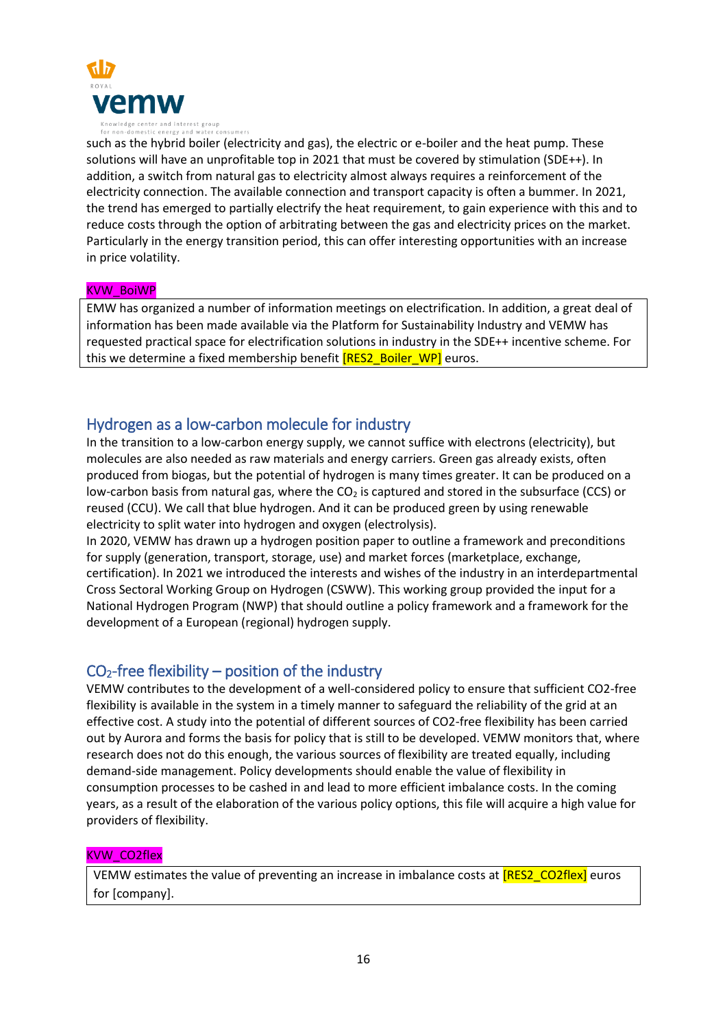

such as the hybrid boiler (electricity and gas), the electric or e-boiler and the heat pump. These solutions will have an unprofitable top in 2021 that must be covered by stimulation (SDE++). In addition, a switch from natural gas to electricity almost always requires a reinforcement of the electricity connection. The available connection and transport capacity is often a bummer. In 2021, the trend has emerged to partially electrify the heat requirement, to gain experience with this and to reduce costs through the option of arbitrating between the gas and electricity prices on the market. Particularly in the energy transition period, this can offer interesting opportunities with an increase in price volatility.

#### KVW\_BoiWP

EMW has organized a number of information meetings on electrification. In addition, a great deal of information has been made available via the Platform for Sustainability Industry and VEMW has requested practical space for electrification solutions in industry in the SDE++ incentive scheme. For this we determine a fixed membership benefit **[RES2\_Boiler\_WP]** euros.

## Hydrogen as a low-carbon molecule for industry

In the transition to a low-carbon energy supply, we cannot suffice with electrons (electricity), but molecules are also needed as raw materials and energy carriers. Green gas already exists, often produced from biogas, but the potential of hydrogen is many times greater. It can be produced on a low-carbon basis from natural gas, where the  $CO<sub>2</sub>$  is captured and stored in the subsurface (CCS) or reused (CCU). We call that blue hydrogen. And it can be produced green by using renewable electricity to split water into hydrogen and oxygen (electrolysis).

In 2020, VEMW has drawn up a hydrogen position paper to outline a framework and preconditions for supply (generation, transport, storage, use) and market forces (marketplace, exchange, certification). In 2021 we introduced the interests and wishes of the industry in an interdepartmental Cross Sectoral Working Group on Hydrogen (CSWW). This working group provided the input for a National Hydrogen Program (NWP) that should outline a policy framework and a framework for the development of a European (regional) hydrogen supply.

# $CO<sub>2</sub>$ -free flexibility – position of the industry

VEMW contributes to the development of a well-considered policy to ensure that sufficient CO2-free flexibility is available in the system in a timely manner to safeguard the reliability of the grid at an effective cost. A study into the potential of different sources of CO2-free flexibility has been carried out by Aurora and forms the basis for policy that is still to be developed. VEMW monitors that, where research does not do this enough, the various sources of flexibility are treated equally, including demand-side management. Policy developments should enable the value of flexibility in consumption processes to be cashed in and lead to more efficient imbalance costs. In the coming years, as a result of the elaboration of the various policy options, this file will acquire a high value for providers of flexibility.

### KVW\_CO2flex

VEMW estimates the value of preventing an increase in imbalance costs at **[RES2\_CO2flex]** euros for [company].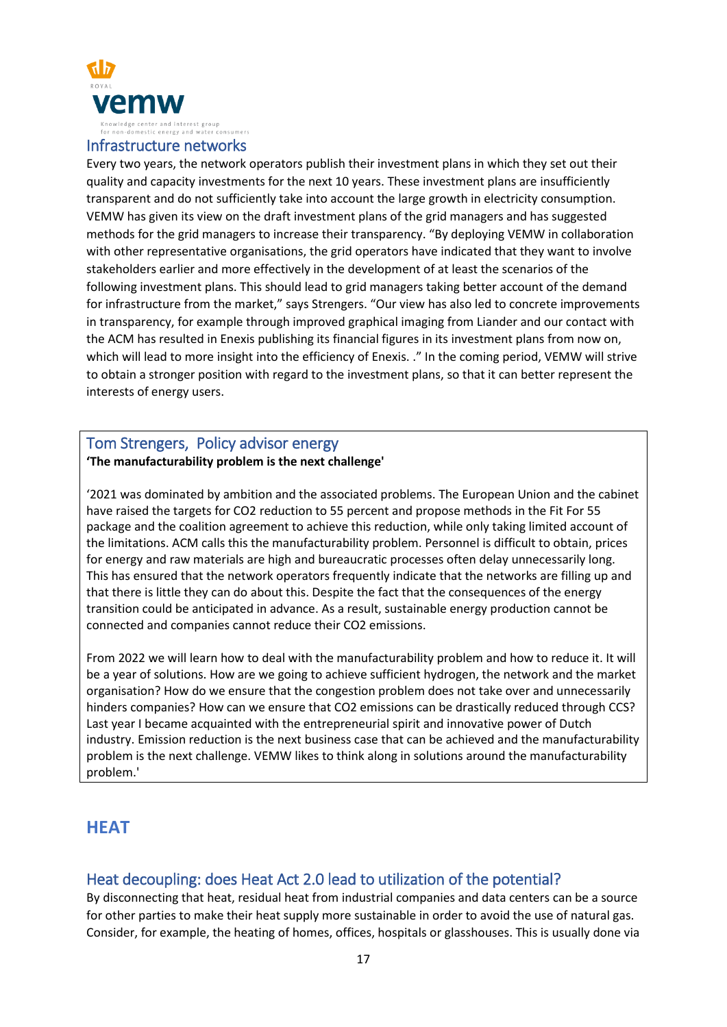

### Infrastructure networks

Every two years, the network operators publish their investment plans in which they set out their quality and capacity investments for the next 10 years. These investment plans are insufficiently transparent and do not sufficiently take into account the large growth in electricity consumption. VEMW has given its view on the draft investment plans of the grid managers and has suggested methods for the grid managers to increase their transparency. "By deploying VEMW in collaboration with other representative organisations, the grid operators have indicated that they want to involve stakeholders earlier and more effectively in the development of at least the scenarios of the following investment plans. This should lead to grid managers taking better account of the demand for infrastructure from the market," says Strengers. "Our view has also led to concrete improvements in transparency, for example through improved graphical imaging from Liander and our contact with the ACM has resulted in Enexis publishing its financial figures in its investment plans from now on, which will lead to more insight into the efficiency of Enexis. ." In the coming period, VEMW will strive to obtain a stronger position with regard to the investment plans, so that it can better represent the interests of energy users.

### Tom Strengers, Policy advisor energy **'The manufacturability problem is the next challenge'**

'2021 was dominated by ambition and the associated problems. The European Union and the cabinet have raised the targets for CO2 reduction to 55 percent and propose methods in the Fit For 55 package and the coalition agreement to achieve this reduction, while only taking limited account of the limitations. ACM calls this the manufacturability problem. Personnel is difficult to obtain, prices for energy and raw materials are high and bureaucratic processes often delay unnecessarily long. This has ensured that the network operators frequently indicate that the networks are filling up and that there is little they can do about this. Despite the fact that the consequences of the energy transition could be anticipated in advance. As a result, sustainable energy production cannot be connected and companies cannot reduce their CO2 emissions.

From 2022 we will learn how to deal with the manufacturability problem and how to reduce it. It will be a year of solutions. How are we going to achieve sufficient hydrogen, the network and the market organisation? How do we ensure that the congestion problem does not take over and unnecessarily hinders companies? How can we ensure that CO2 emissions can be drastically reduced through CCS? Last year I became acquainted with the entrepreneurial spirit and innovative power of Dutch industry. Emission reduction is the next business case that can be achieved and the manufacturability problem is the next challenge. VEMW likes to think along in solutions around the manufacturability problem.'

# **HEAT**

# Heat decoupling: does Heat Act 2.0 lead to utilization of the potential?

By disconnecting that heat, residual heat from industrial companies and data centers can be a source for other parties to make their heat supply more sustainable in order to avoid the use of natural gas. Consider, for example, the heating of homes, offices, hospitals or glasshouses. This is usually done via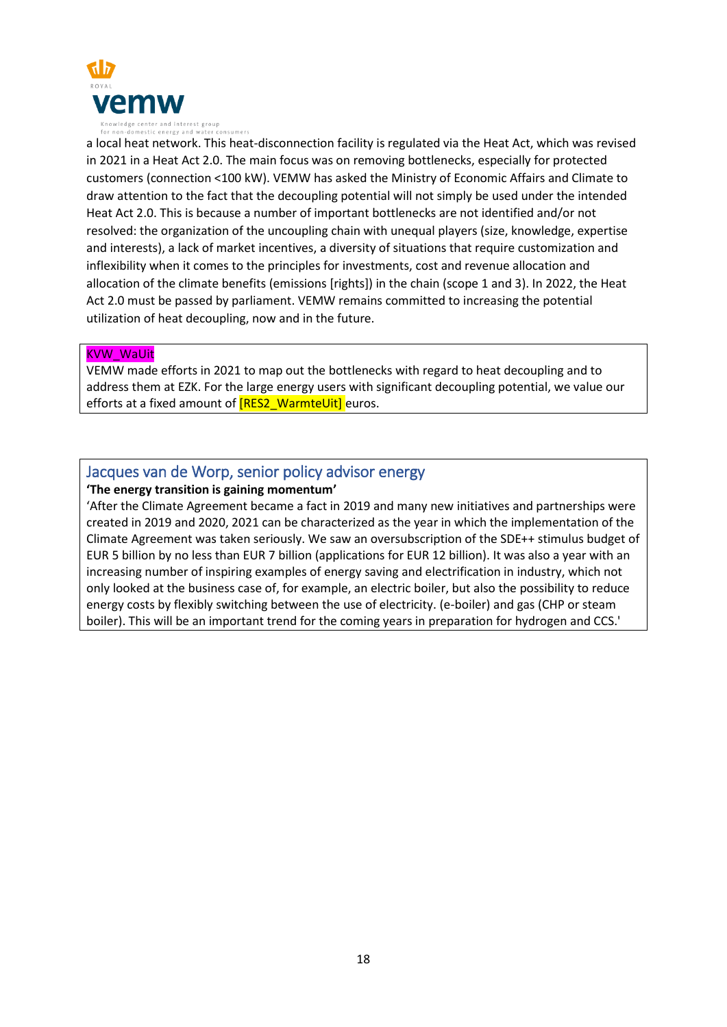

a local heat network. This heat-disconnection facility is regulated via the Heat Act, which was revised in 2021 in a Heat Act 2.0. The main focus was on removing bottlenecks, especially for protected customers (connection <100 kW). VEMW has asked the Ministry of Economic Affairs and Climate to draw attention to the fact that the decoupling potential will not simply be used under the intended Heat Act 2.0. This is because a number of important bottlenecks are not identified and/or not resolved: the organization of the uncoupling chain with unequal players (size, knowledge, expertise and interests), a lack of market incentives, a diversity of situations that require customization and inflexibility when it comes to the principles for investments, cost and revenue allocation and allocation of the climate benefits (emissions [rights]) in the chain (scope 1 and 3). In 2022, the Heat Act 2.0 must be passed by parliament. VEMW remains committed to increasing the potential utilization of heat decoupling, now and in the future.

### KVW\_WaUit

VEMW made efforts in 2021 to map out the bottlenecks with regard to heat decoupling and to address them at EZK. For the large energy users with significant decoupling potential, we value our efforts at a fixed amount of **[RES2\_WarmteUit]** euros.

# Jacques van de Worp, senior policy advisor energy

**'The energy transition is gaining momentum'** 

'After the Climate Agreement became a fact in 2019 and many new initiatives and partnerships were created in 2019 and 2020, 2021 can be characterized as the year in which the implementation of the Climate Agreement was taken seriously. We saw an oversubscription of the SDE++ stimulus budget of EUR 5 billion by no less than EUR 7 billion (applications for EUR 12 billion). It was also a year with an increasing number of inspiring examples of energy saving and electrification in industry, which not only looked at the business case of, for example, an electric boiler, but also the possibility to reduce energy costs by flexibly switching between the use of electricity. (e-boiler) and gas (CHP or steam boiler). This will be an important trend for the coming years in preparation for hydrogen and CCS.'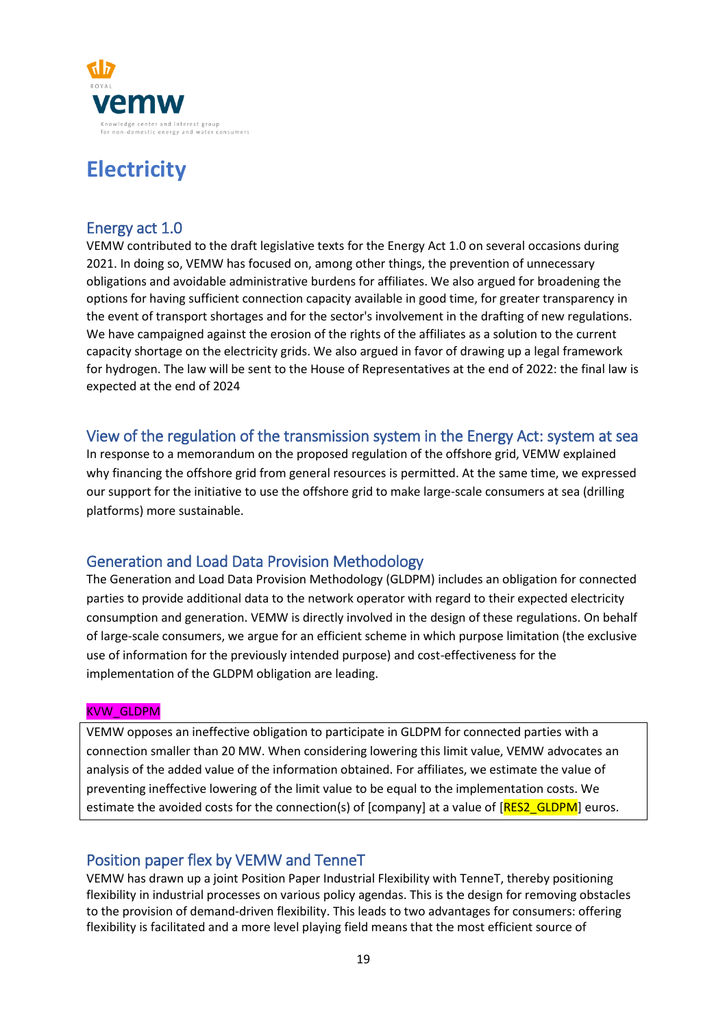

# **Electricity**

# Energy act 1.0

VEMW contributed to the draft legislative texts for the Energy Act 1.0 on several occasions during 2021. In doing so, VEMW has focused on, among other things, the prevention of unnecessary obligations and avoidable administrative burdens for affiliates. We also argued for broadening the options for having sufficient connection capacity available in good time, for greater transparency in the event of transport shortages and for the sector's involvement in the drafting of new regulations. We have campaigned against the erosion of the rights of the affiliates as a solution to the current capacity shortage on the electricity grids. We also argued in favor of drawing up a legal framework for hydrogen. The law will be sent to the House of Representatives at the end of 2022: the final law is expected at the end of 2024

# View of the regulation of the transmission system in the Energy Act: system at sea

In response to a memorandum on the proposed regulation of the offshore grid, VEMW explained why financing the offshore grid from general resources is permitted. At the same time, we expressed our support for the initiative to use the offshore grid to make large-scale consumers at sea (drilling platforms) more sustainable.

# Generation and Load Data Provision Methodology

The Generation and Load Data Provision Methodology (GLDPM) includes an obligation for connected parties to provide additional data to the network operator with regard to their expected electricity consumption and generation. VEMW is directly involved in the design of these regulations. On behalf of large-scale consumers, we argue for an efficient scheme in which purpose limitation (the exclusive use of information for the previously intended purpose) and cost-effectiveness for the implementation of the GLDPM obligation are leading.

## KVW\_GLDPM

VEMW opposes an ineffective obligation to participate in GLDPM for connected parties with a connection smaller than 20 MW. When considering lowering this limit value, VEMW advocates an analysis of the added value of the information obtained. For affiliates, we estimate the value of preventing ineffective lowering of the limit value to be equal to the implementation costs. We estimate the avoided costs for the connection(s) of [company] at a value of  $[RES2 \text{ GLDPM}]$  euros.

# Position paper flex by VEMW and TenneT

VEMW has drawn up a joint Position Paper Industrial Flexibility with TenneT, thereby positioning flexibility in industrial processes on various policy agendas. This is the design for removing obstacles to the provision of demand-driven flexibility. This leads to two advantages for consumers: offering flexibility is facilitated and a more level playing field means that the most efficient source of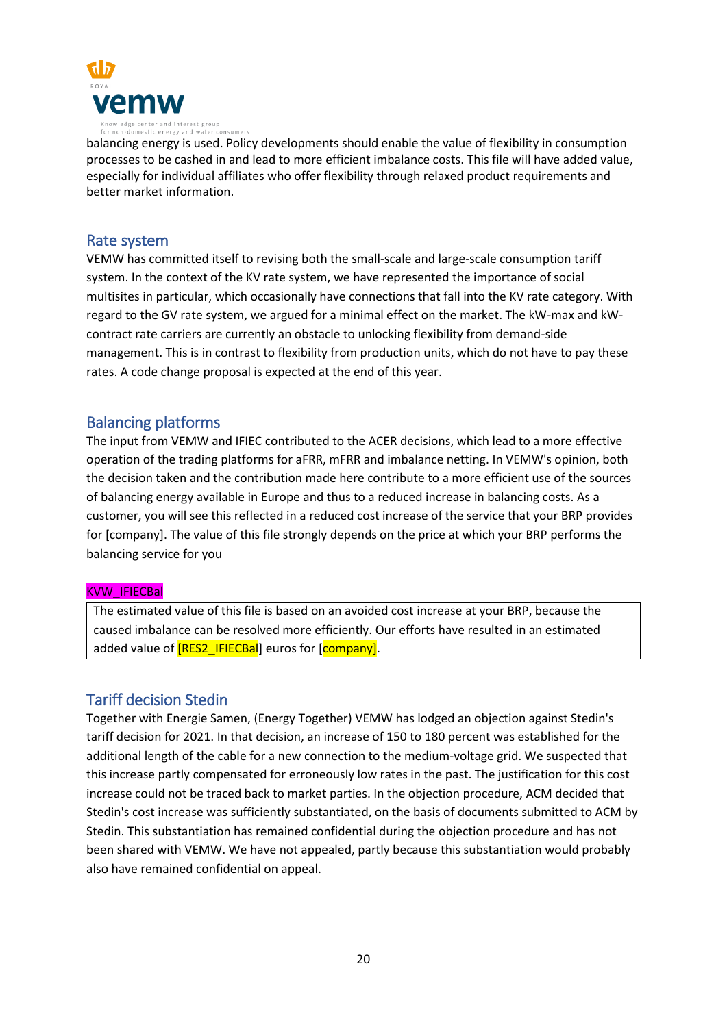

balancing energy is used. Policy developments should enable the value of flexibility in consumption processes to be cashed in and lead to more efficient imbalance costs. This file will have added value, especially for individual affiliates who offer flexibility through relaxed product requirements and better market information.

### Rate system

VEMW has committed itself to revising both the small-scale and large-scale consumption tariff system. In the context of the KV rate system, we have represented the importance of social multisites in particular, which occasionally have connections that fall into the KV rate category. With regard to the GV rate system, we argued for a minimal effect on the market. The kW-max and kWcontract rate carriers are currently an obstacle to unlocking flexibility from demand-side management. This is in contrast to flexibility from production units, which do not have to pay these rates. A code change proposal is expected at the end of this year.

# Balancing platforms

The input from VEMW and IFIEC contributed to the ACER decisions, which lead to a more effective operation of the trading platforms for aFRR, mFRR and imbalance netting. In VEMW's opinion, both the decision taken and the contribution made here contribute to a more efficient use of the sources of balancing energy available in Europe and thus to a reduced increase in balancing costs. As a customer, you will see this reflected in a reduced cost increase of the service that your BRP provides for [company]. The value of this file strongly depends on the price at which your BRP performs the balancing service for you

### KVW\_IFIECBal

The estimated value of this file is based on an avoided cost increase at your BRP, because the caused imbalance can be resolved more efficiently. Our efforts have resulted in an estimated added value of [RES2\_IFIECBal] euros for [company].

## Tariff decision Stedin

Together with Energie Samen, (Energy Together) VEMW has lodged an objection against Stedin's tariff decision for 2021. In that decision, an increase of 150 to 180 percent was established for the additional length of the cable for a new connection to the medium-voltage grid. We suspected that this increase partly compensated for erroneously low rates in the past. The justification for this cost increase could not be traced back to market parties. In the objection procedure, ACM decided that Stedin's cost increase was sufficiently substantiated, on the basis of documents submitted to ACM by Stedin. This substantiation has remained confidential during the objection procedure and has not been shared with VEMW. We have not appealed, partly because this substantiation would probably also have remained confidential on appeal.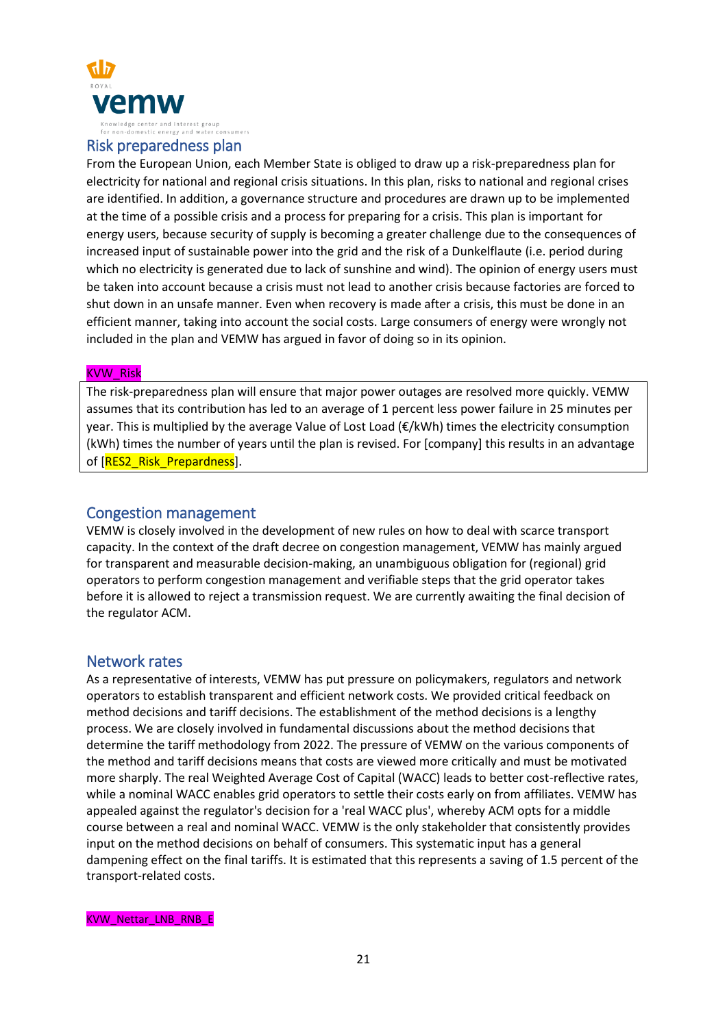

### Risk preparedness plan

From the European Union, each Member State is obliged to draw up a risk-preparedness plan for electricity for national and regional crisis situations. In this plan, risks to national and regional crises are identified. In addition, a governance structure and procedures are drawn up to be implemented at the time of a possible crisis and a process for preparing for a crisis. This plan is important for energy users, because security of supply is becoming a greater challenge due to the consequences of increased input of sustainable power into the grid and the risk of a Dunkelflaute (i.e. period during which no electricity is generated due to lack of sunshine and wind). The opinion of energy users must be taken into account because a crisis must not lead to another crisis because factories are forced to shut down in an unsafe manner. Even when recovery is made after a crisis, this must be done in an efficient manner, taking into account the social costs. Large consumers of energy were wrongly not included in the plan and VEMW has argued in favor of doing so in its opinion.

#### KVW\_Risk

The risk-preparedness plan will ensure that major power outages are resolved more quickly. VEMW assumes that its contribution has led to an average of 1 percent less power failure in 25 minutes per year. This is multiplied by the average Value of Lost Load (€/kWh) times the electricity consumption (kWh) times the number of years until the plan is revised. For [company] this results in an advantage of [RES2\_Risk\_Prepardness].

### Congestion management

VEMW is closely involved in the development of new rules on how to deal with scarce transport capacity. In the context of the draft decree on congestion management, VEMW has mainly argued for transparent and measurable decision-making, an unambiguous obligation for (regional) grid operators to perform congestion management and verifiable steps that the grid operator takes before it is allowed to reject a transmission request. We are currently awaiting the final decision of the regulator ACM.

### Network rates

As a representative of interests, VEMW has put pressure on policymakers, regulators and network operators to establish transparent and efficient network costs. We provided critical feedback on method decisions and tariff decisions. The establishment of the method decisions is a lengthy process. We are closely involved in fundamental discussions about the method decisions that determine the tariff methodology from 2022. The pressure of VEMW on the various components of the method and tariff decisions means that costs are viewed more critically and must be motivated more sharply. The real Weighted Average Cost of Capital (WACC) leads to better cost-reflective rates, while a nominal WACC enables grid operators to settle their costs early on from affiliates. VEMW has appealed against the regulator's decision for a 'real WACC plus', whereby ACM opts for a middle course between a real and nominal WACC. VEMW is the only stakeholder that consistently provides input on the method decisions on behalf of consumers. This systematic input has a general dampening effect on the final tariffs. It is estimated that this represents a saving of 1.5 percent of the transport-related costs.

KVW\_Nettar\_LNB\_RNB\_E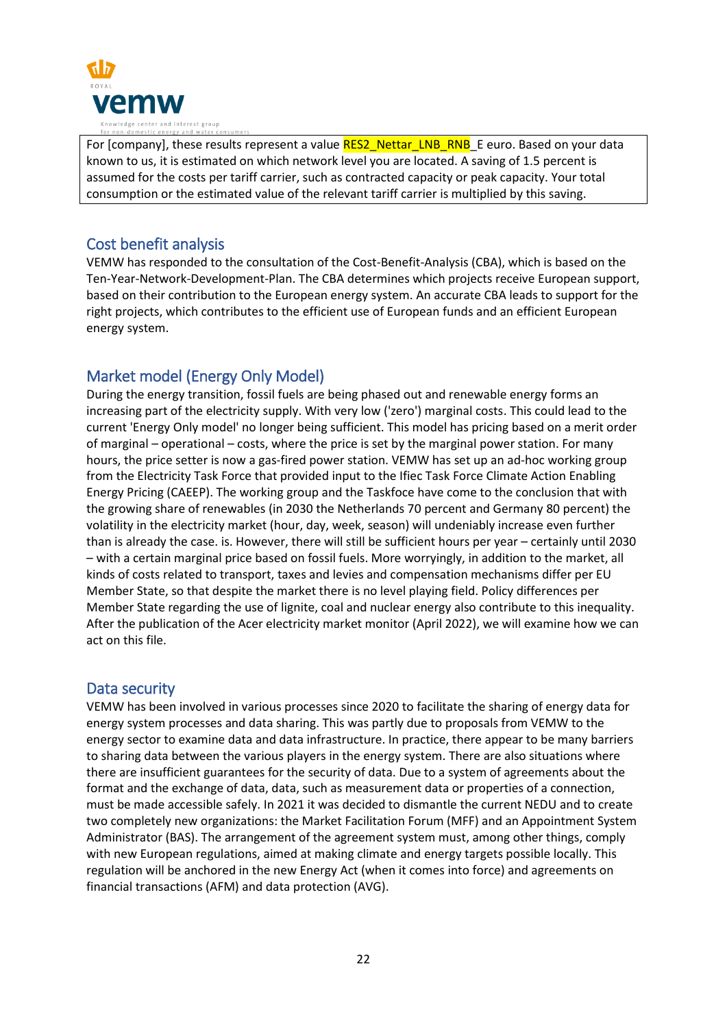

For [company], these results represent a value RES2\_Nettar\_LNB\_RNB\_E euro. Based on your data known to us, it is estimated on which network level you are located. A saving of 1.5 percent is assumed for the costs per tariff carrier, such as contracted capacity or peak capacity. Your total consumption or the estimated value of the relevant tariff carrier is multiplied by this saving.

# Cost benefit analysis

VEMW has responded to the consultation of the Cost-Benefit-Analysis (CBA), which is based on the Ten-Year-Network-Development-Plan. The CBA determines which projects receive European support, based on their contribution to the European energy system. An accurate CBA leads to support for the right projects, which contributes to the efficient use of European funds and an efficient European energy system.

# Market model (Energy Only Model)

During the energy transition, fossil fuels are being phased out and renewable energy forms an increasing part of the electricity supply. With very low ('zero') marginal costs. This could lead to the current 'Energy Only model' no longer being sufficient. This model has pricing based on a merit order of marginal – operational – costs, where the price is set by the marginal power station. For many hours, the price setter is now a gas-fired power station. VEMW has set up an ad-hoc working group from the Electricity Task Force that provided input to the Ifiec Task Force Climate Action Enabling Energy Pricing (CAEEP). The working group and the Taskfoce have come to the conclusion that with the growing share of renewables (in 2030 the Netherlands 70 percent and Germany 80 percent) the volatility in the electricity market (hour, day, week, season) will undeniably increase even further than is already the case. is. However, there will still be sufficient hours per year – certainly until 2030 – with a certain marginal price based on fossil fuels. More worryingly, in addition to the market, all kinds of costs related to transport, taxes and levies and compensation mechanisms differ per EU Member State, so that despite the market there is no level playing field. Policy differences per Member State regarding the use of lignite, coal and nuclear energy also contribute to this inequality. After the publication of the Acer electricity market monitor (April 2022), we will examine how we can act on this file.

# Data security

VEMW has been involved in various processes since 2020 to facilitate the sharing of energy data for energy system processes and data sharing. This was partly due to proposals from VEMW to the energy sector to examine data and data infrastructure. In practice, there appear to be many barriers to sharing data between the various players in the energy system. There are also situations where there are insufficient guarantees for the security of data. Due to a system of agreements about the format and the exchange of data, data, such as measurement data or properties of a connection, must be made accessible safely. In 2021 it was decided to dismantle the current NEDU and to create two completely new organizations: the Market Facilitation Forum (MFF) and an Appointment System Administrator (BAS). The arrangement of the agreement system must, among other things, comply with new European regulations, aimed at making climate and energy targets possible locally. This regulation will be anchored in the new Energy Act (when it comes into force) and agreements on financial transactions (AFM) and data protection (AVG).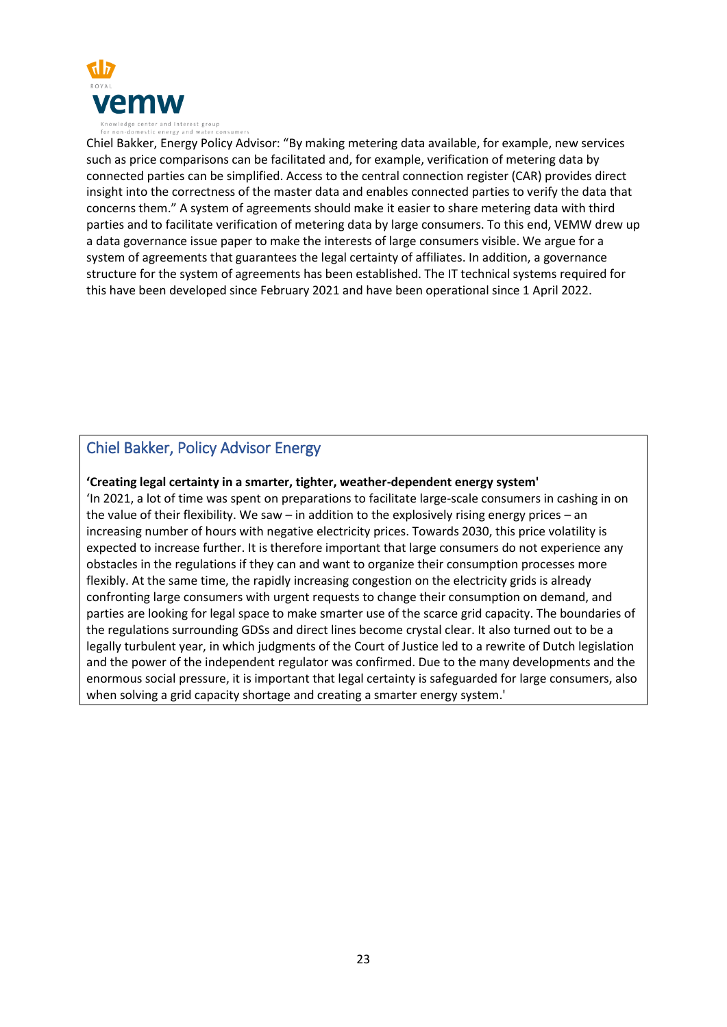

Chiel Bakker, Energy Policy Advisor: "By making metering data available, for example, new services such as price comparisons can be facilitated and, for example, verification of metering data by connected parties can be simplified. Access to the central connection register (CAR) provides direct insight into the correctness of the master data and enables connected parties to verify the data that concerns them." A system of agreements should make it easier to share metering data with third parties and to facilitate verification of metering data by large consumers. To this end, VEMW drew up a data governance issue paper to make the interests of large consumers visible. We argue for a system of agreements that guarantees the legal certainty of affiliates. In addition, a governance structure for the system of agreements has been established. The IT technical systems required for this have been developed since February 2021 and have been operational since 1 April 2022.

# Chiel Bakker, Policy Advisor Energy

### **'Creating legal certainty in a smarter, tighter, weather-dependent energy system'**

'In 2021, a lot of time was spent on preparations to facilitate large-scale consumers in cashing in on the value of their flexibility. We saw – in addition to the explosively rising energy prices – an increasing number of hours with negative electricity prices. Towards 2030, this price volatility is expected to increase further. It is therefore important that large consumers do not experience any obstacles in the regulations if they can and want to organize their consumption processes more flexibly. At the same time, the rapidly increasing congestion on the electricity grids is already confronting large consumers with urgent requests to change their consumption on demand, and parties are looking for legal space to make smarter use of the scarce grid capacity. The boundaries of the regulations surrounding GDSs and direct lines become crystal clear. It also turned out to be a legally turbulent year, in which judgments of the Court of Justice led to a rewrite of Dutch legislation and the power of the independent regulator was confirmed. Due to the many developments and the enormous social pressure, it is important that legal certainty is safeguarded for large consumers, also when solving a grid capacity shortage and creating a smarter energy system.'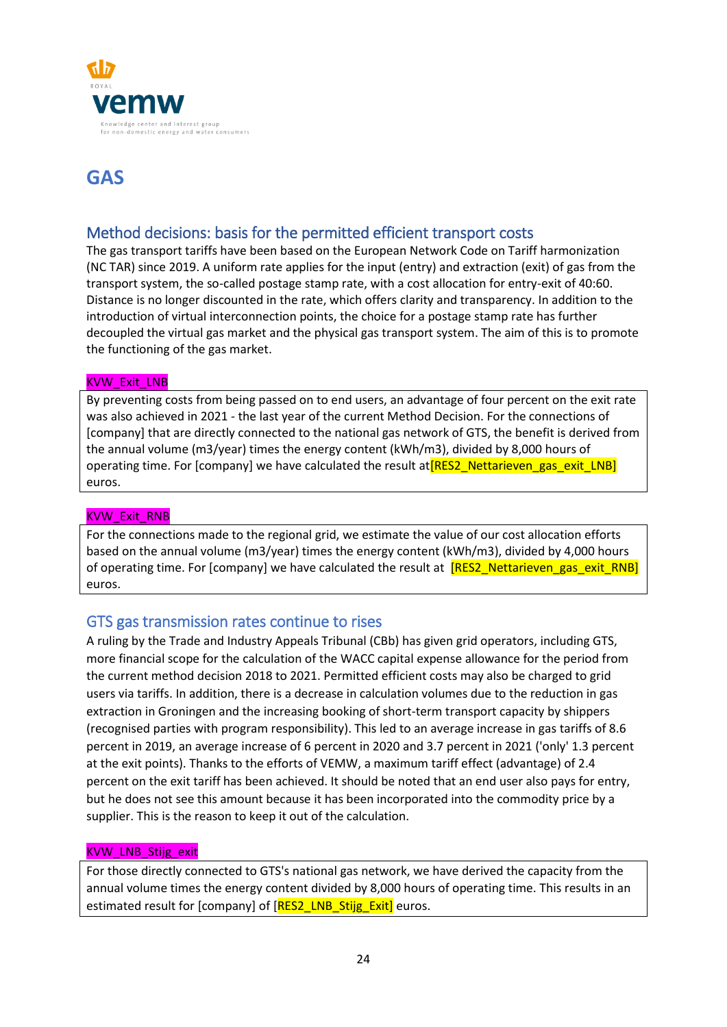

# **GAS**

# Method decisions: basis for the permitted efficient transport costs

The gas transport tariffs have been based on the European Network Code on Tariff harmonization (NC TAR) since 2019. A uniform rate applies for the input (entry) and extraction (exit) of gas from the transport system, the so-called postage stamp rate, with a cost allocation for entry-exit of 40:60. Distance is no longer discounted in the rate, which offers clarity and transparency. In addition to the introduction of virtual interconnection points, the choice for a postage stamp rate has further decoupled the virtual gas market and the physical gas transport system. The aim of this is to promote the functioning of the gas market.

### KVW\_Exit\_LNB

By preventing costs from being passed on to end users, an advantage of four percent on the exit rate was also achieved in 2021 - the last year of the current Method Decision. For the connections of [company] that are directly connected to the national gas network of GTS, the benefit is derived from the annual volume (m3/year) times the energy content (kWh/m3), divided by 8,000 hours of operating time. For  $[comp$  we have calculated the result at  $[RES2$  Nettarieven gas exit LNB] euros.

### KVW\_Exit\_RNB

For the connections made to the regional grid, we estimate the value of our cost allocation efforts based on the annual volume (m3/year) times the energy content (kWh/m3), divided by 4,000 hours of operating time. For [company] we have calculated the result at **[RES2\_Nettarieven\_gas\_exit\_RNB]** euros.

## GTS gas transmission rates continue to rises

A ruling by the Trade and Industry Appeals Tribunal (CBb) has given grid operators, including GTS, more financial scope for the calculation of the WACC capital expense allowance for the period from the current method decision 2018 to 2021. Permitted efficient costs may also be charged to grid users via tariffs. In addition, there is a decrease in calculation volumes due to the reduction in gas extraction in Groningen and the increasing booking of short-term transport capacity by shippers (recognised parties with program responsibility). This led to an average increase in gas tariffs of 8.6 percent in 2019, an average increase of 6 percent in 2020 and 3.7 percent in 2021 ('only' 1.3 percent at the exit points). Thanks to the efforts of VEMW, a maximum tariff effect (advantage) of 2.4 percent on the exit tariff has been achieved. It should be noted that an end user also pays for entry, but he does not see this amount because it has been incorporated into the commodity price by a supplier. This is the reason to keep it out of the calculation.

### KVW\_LNB\_Stijg\_exit

For those directly connected to GTS's national gas network, we have derived the capacity from the annual volume times the energy content divided by 8,000 hours of operating time. This results in an estimated result for [company] of [RES2\_LNB\_Stijg\_Exit] euros.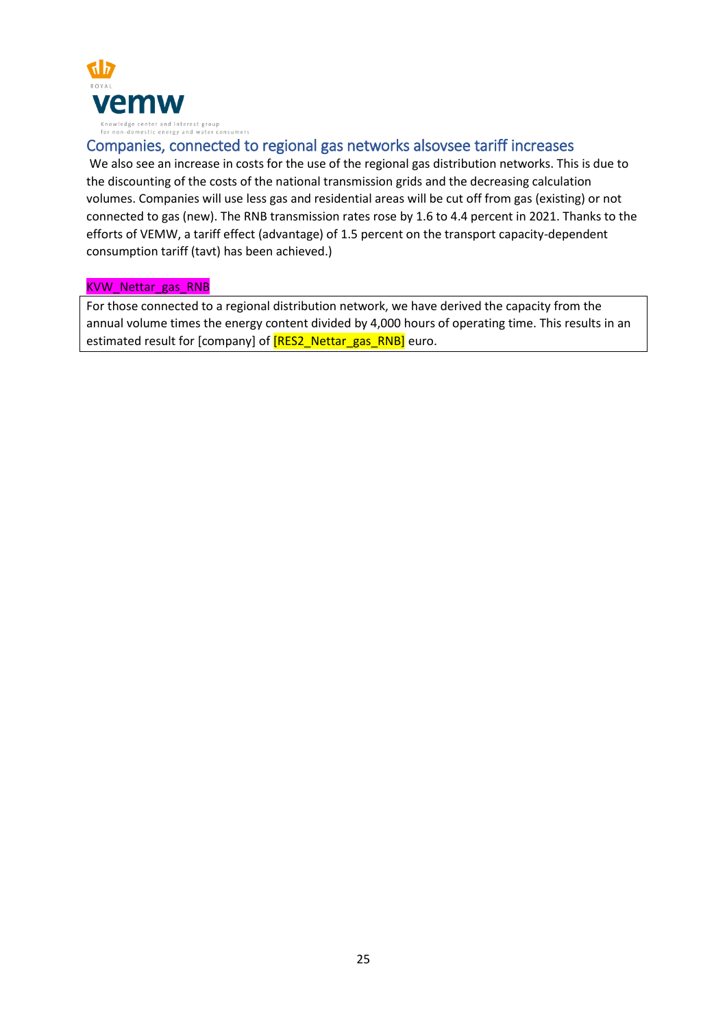

# Companies, connected to regional gas networks alsovsee tariff increases

We also see an increase in costs for the use of the regional gas distribution networks. This is due to the discounting of the costs of the national transmission grids and the decreasing calculation volumes. Companies will use less gas and residential areas will be cut off from gas (existing) or not connected to gas (new). The RNB transmission rates rose by 1.6 to 4.4 percent in 2021. Thanks to the efforts of VEMW, a tariff effect (advantage) of 1.5 percent on the transport capacity-dependent consumption tariff (tavt) has been achieved.)

### KVW\_Nettar\_gas\_RNB

For those connected to a regional distribution network, we have derived the capacity from the annual volume times the energy content divided by 4,000 hours of operating time. This results in an estimated result for [company] of **[RES2\_Nettar\_gas\_RNB]** euro.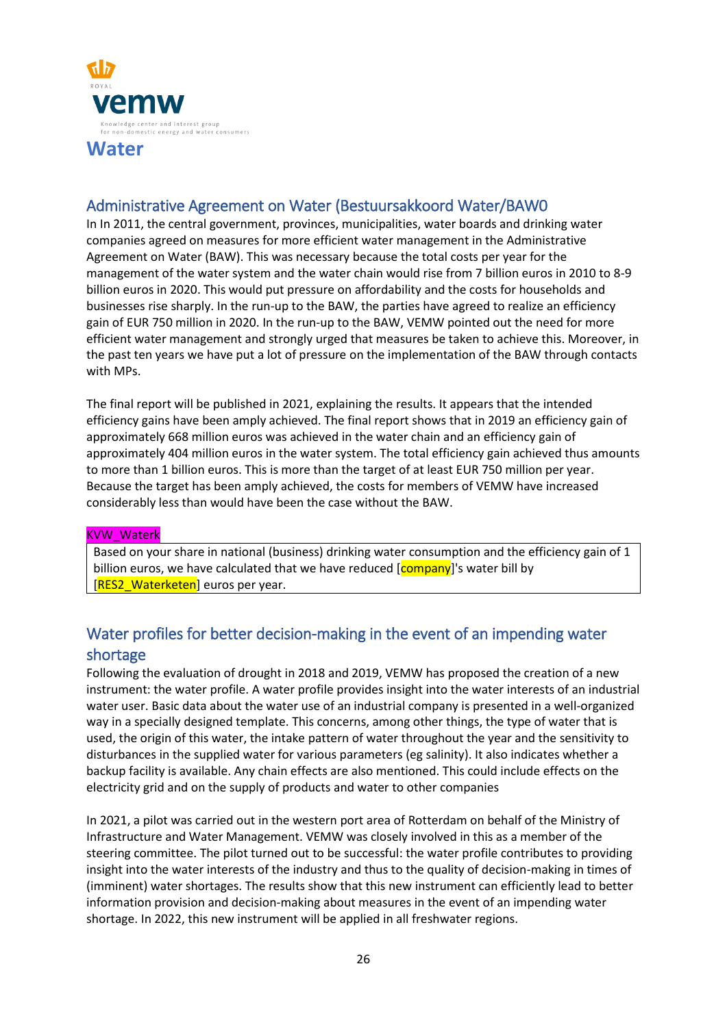

# Administrative Agreement on Water (Bestuursakkoord Water/BAW0

In In 2011, the central government, provinces, municipalities, water boards and drinking water companies agreed on measures for more efficient water management in the Administrative Agreement on Water (BAW). This was necessary because the total costs per year for the management of the water system and the water chain would rise from 7 billion euros in 2010 to 8-9 billion euros in 2020. This would put pressure on affordability and the costs for households and businesses rise sharply. In the run-up to the BAW, the parties have agreed to realize an efficiency gain of EUR 750 million in 2020. In the run-up to the BAW, VEMW pointed out the need for more efficient water management and strongly urged that measures be taken to achieve this. Moreover, in the past ten years we have put a lot of pressure on the implementation of the BAW through contacts with MPs.

The final report will be published in 2021, explaining the results. It appears that the intended efficiency gains have been amply achieved. The final report shows that in 2019 an efficiency gain of approximately 668 million euros was achieved in the water chain and an efficiency gain of approximately 404 million euros in the water system. The total efficiency gain achieved thus amounts to more than 1 billion euros. This is more than the target of at least EUR 750 million per year. Because the target has been amply achieved, the costs for members of VEMW have increased considerably less than would have been the case without the BAW.

### KVW\_Waterk

Based on your share in national (business) drinking water consumption and the efficiency gain of 1 billion euros, we have calculated that we have reduced [company]'s water bill by [RES2\_Waterketen] euros per year.

# Water profiles for better decision-making in the event of an impending water shortage

Following the evaluation of drought in 2018 and 2019, VEMW has proposed the creation of a new instrument: the water profile. A water profile provides insight into the water interests of an industrial water user. Basic data about the water use of an industrial company is presented in a well-organized way in a specially designed template. This concerns, among other things, the type of water that is used, the origin of this water, the intake pattern of water throughout the year and the sensitivity to disturbances in the supplied water for various parameters (eg salinity). It also indicates whether a backup facility is available. Any chain effects are also mentioned. This could include effects on the electricity grid and on the supply of products and water to other companies

In 2021, a pilot was carried out in the western port area of Rotterdam on behalf of the Ministry of Infrastructure and Water Management. VEMW was closely involved in this as a member of the steering committee. The pilot turned out to be successful: the water profile contributes to providing insight into the water interests of the industry and thus to the quality of decision-making in times of (imminent) water shortages. The results show that this new instrument can efficiently lead to better information provision and decision-making about measures in the event of an impending water shortage. In 2022, this new instrument will be applied in all freshwater regions.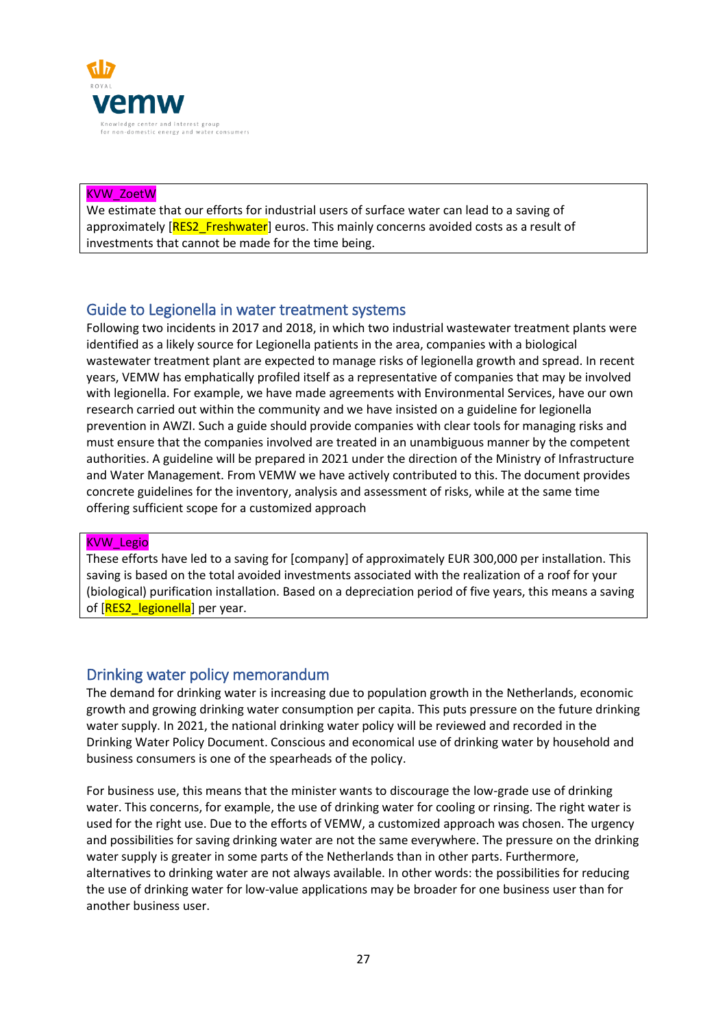

### KVW\_ZoetW

We estimate that our efforts for industrial users of surface water can lead to a saving of approximately [RES2\_Freshwater] euros. This mainly concerns avoided costs as a result of investments that cannot be made for the time being.

# Guide to Legionella in water treatment systems

Following two incidents in 2017 and 2018, in which two industrial wastewater treatment plants were identified as a likely source for Legionella patients in the area, companies with a biological wastewater treatment plant are expected to manage risks of legionella growth and spread. In recent years, VEMW has emphatically profiled itself as a representative of companies that may be involved with legionella. For example, we have made agreements with Environmental Services, have our own research carried out within the community and we have insisted on a guideline for legionella prevention in AWZI. Such a guide should provide companies with clear tools for managing risks and must ensure that the companies involved are treated in an unambiguous manner by the competent authorities. A guideline will be prepared in 2021 under the direction of the Ministry of Infrastructure and Water Management. From VEMW we have actively contributed to this. The document provides concrete guidelines for the inventory, analysis and assessment of risks, while at the same time offering sufficient scope for a customized approach

### KVW\_Legio

These efforts have led to a saving for [company] of approximately EUR 300,000 per installation. This saving is based on the total avoided investments associated with the realization of a roof for your (biological) purification installation. Based on a depreciation period of five years, this means a saving of [RES2\_legionella] per year.

## Drinking water policy memorandum

The demand for drinking water is increasing due to population growth in the Netherlands, economic growth and growing drinking water consumption per capita. This puts pressure on the future drinking water supply. In 2021, the national drinking water policy will be reviewed and recorded in the Drinking Water Policy Document. Conscious and economical use of drinking water by household and business consumers is one of the spearheads of the policy.

For business use, this means that the minister wants to discourage the low-grade use of drinking water. This concerns, for example, the use of drinking water for cooling or rinsing. The right water is used for the right use. Due to the efforts of VEMW, a customized approach was chosen. The urgency and possibilities for saving drinking water are not the same everywhere. The pressure on the drinking water supply is greater in some parts of the Netherlands than in other parts. Furthermore, alternatives to drinking water are not always available. In other words: the possibilities for reducing the use of drinking water for low-value applications may be broader for one business user than for another business user.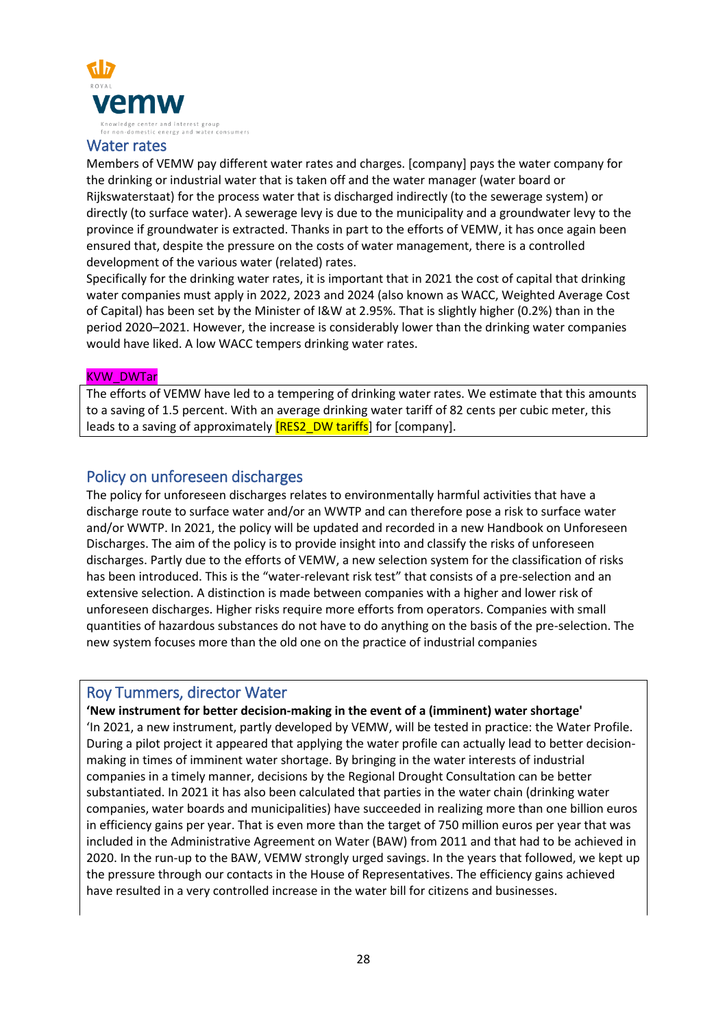

### Water rates

Members of VEMW pay different water rates and charges. [company] pays the water company for the drinking or industrial water that is taken off and the water manager (water board or Rijkswaterstaat) for the process water that is discharged indirectly (to the sewerage system) or directly (to surface water). A sewerage levy is due to the municipality and a groundwater levy to the province if groundwater is extracted. Thanks in part to the efforts of VEMW, it has once again been ensured that, despite the pressure on the costs of water management, there is a controlled development of the various water (related) rates.

Specifically for the drinking water rates, it is important that in 2021 the cost of capital that drinking water companies must apply in 2022, 2023 and 2024 (also known as WACC, Weighted Average Cost of Capital) has been set by the Minister of I&W at 2.95%. That is slightly higher (0.2%) than in the period 2020–2021. However, the increase is considerably lower than the drinking water companies would have liked. A low WACC tempers drinking water rates.

#### KVW\_DWTar

The efforts of VEMW have led to a tempering of drinking water rates. We estimate that this amounts to a saving of 1.5 percent. With an average drinking water tariff of 82 cents per cubic meter, this leads to a saving of approximately **[RES2\_DW tariffs**] for [company].

# Policy on unforeseen discharges

The policy for unforeseen discharges relates to environmentally harmful activities that have a discharge route to surface water and/or an WWTP and can therefore pose a risk to surface water and/or WWTP. In 2021, the policy will be updated and recorded in a new Handbook on Unforeseen Discharges. The aim of the policy is to provide insight into and classify the risks of unforeseen discharges. Partly due to the efforts of VEMW, a new selection system for the classification of risks has been introduced. This is the "water-relevant risk test" that consists of a pre-selection and an extensive selection. A distinction is made between companies with a higher and lower risk of unforeseen discharges. Higher risks require more efforts from operators. Companies with small quantities of hazardous substances do not have to do anything on the basis of the pre-selection. The new system focuses more than the old one on the practice of industrial companies

### Roy Tummers, director Water

### **'New instrument for better decision-making in the event of a (imminent) water shortage'**

'In 2021, a new instrument, partly developed by VEMW, will be tested in practice: the Water Profile. During a pilot project it appeared that applying the water profile can actually lead to better decisionmaking in times of imminent water shortage. By bringing in the water interests of industrial companies in a timely manner, decisions by the Regional Drought Consultation can be better substantiated. In 2021 it has also been calculated that parties in the water chain (drinking water companies, water boards and municipalities) have succeeded in realizing more than one billion euros in efficiency gains per year. That is even more than the target of 750 million euros per year that was included in the Administrative Agreement on Water (BAW) from 2011 and that had to be achieved in 2020. In the run-up to the BAW, VEMW strongly urged savings. In the years that followed, we kept up the pressure through our contacts in the House of Representatives. The efficiency gains achieved have resulted in a very controlled increase in the water bill for citizens and businesses.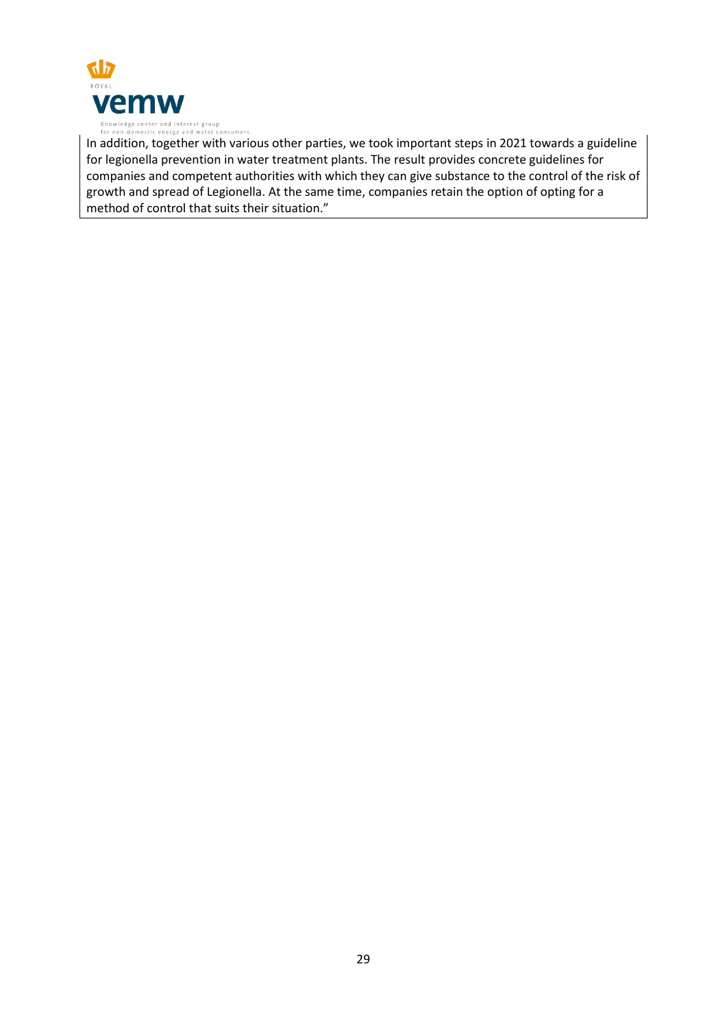

In addition, together with various other parties, we took important steps in 2021 towards a guideline for legionella prevention in water treatment plants. The result provides concrete guidelines for companies and competent authorities with which they can give substance to the control of the risk of growth and spread of Legionella. At the same time, companies retain the option of opting for a method of control that suits their situation."